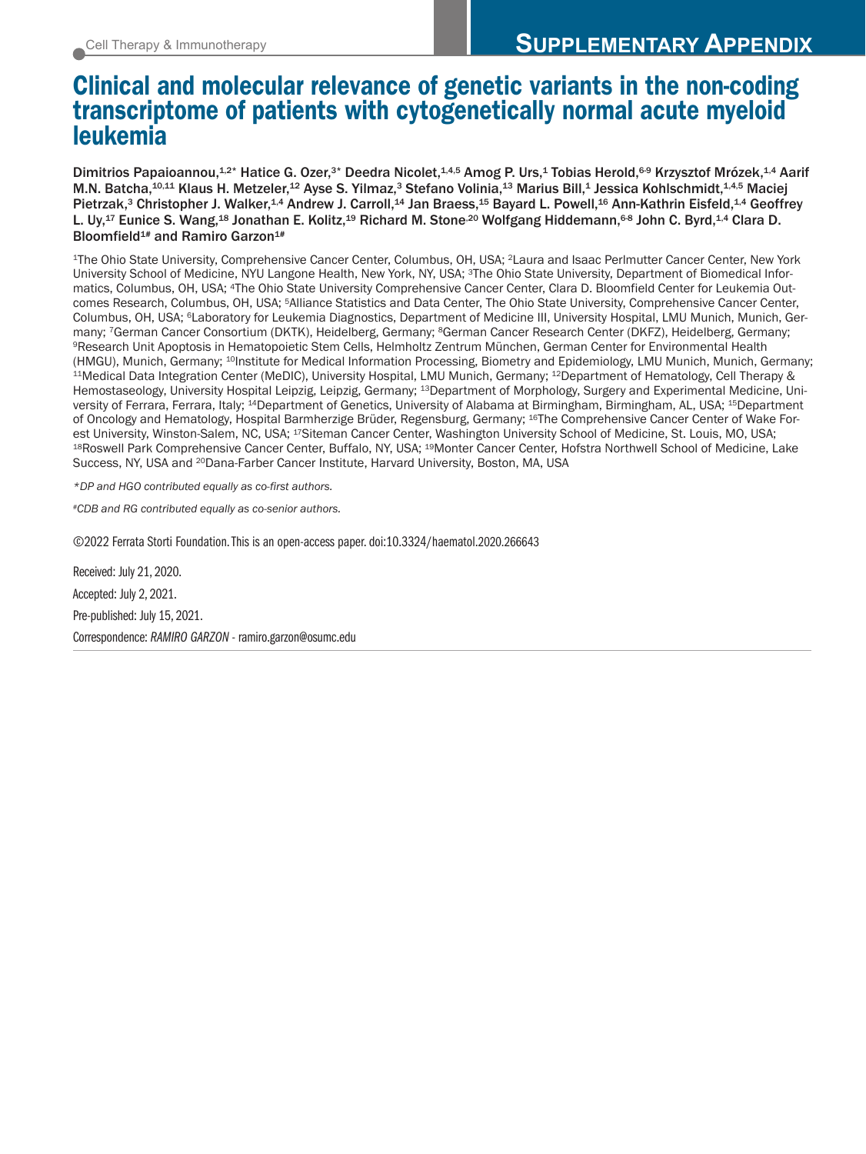# Clinical and molecular relevance of genetic variants in the non-coding transcriptome of patients with cytogenetically normal acute myeloid leukemia

Dimitrios Papaioannou,<sup>1,2\*</sup> Hatice G. Ozer,<sup>3\*</sup> Deedra Nicolet,<sup>1,4,5</sup> Amog P. Urs,<sup>1</sup> Tobias Herold,<sup>6-9</sup> Krzysztof Mrózek,<sup>1,4</sup> Aarif M.N. Batcha,<sup>10,11</sup> Klaus H. Metzeler,<sup>12</sup> Ayse S. Yilmaz,<sup>3</sup> Stefano Volinia,<sup>13</sup> Marius Bill,<sup>1</sup> Jessica Kohlschmidt,<sup>1,4,5</sup> Maciej Pietrzak,<sup>3</sup> Christopher J. Walker,<sup>1,4</sup> Andrew J. Carroll,<sup>14</sup> Jan Braess,<sup>15</sup> Bayard L. Powell,<sup>16</sup> Ann-Kathrin Eisfeld,<sup>1,4</sup> Geoffrey L. Uy,<sup>17</sup> Eunice S. Wang,<sup>18</sup> Jonathan E. Kolitz,<sup>19</sup> Richard M. Stone<sup>,20</sup> Wolfgang Hiddemann,<sup>6-8</sup> John C. Byrd,<sup>1,4</sup> Clara D. Bloomfield<sup>1#</sup> and Ramiro Garzon<sup>1#</sup>

1The Ohio State University, Comprehensive Cancer Center, Columbus, OH, USA; 2Laura and Isaac Perlmutter Cancer Center, New York University School of Medicine, NYU Langone Health, New York, NY, USA; 3The Ohio State University, Department of Biomedical Informatics, Columbus, OH, USA; 4The Ohio State University Comprehensive Cancer Center, Clara D. Bloomfield Center for Leukemia Outcomes Research, Columbus, OH, USA; 5Alliance Statistics and Data Center, The Ohio State University, Comprehensive Cancer Center, Columbus, OH, USA; 6Laboratory for Leukemia Diagnostics, Department of Medicine III, University Hospital, LMU Munich, Munich, Germany; <sup>7</sup>German Cancer Consortium (DKTK), Heidelberg, Germany; <sup>8</sup>German Cancer Research Center (DKFZ), Heidelberg, Germany;<br><sup>9</sup>Research Unit Apoptosis in Hematopoietic Stem Cells, Helmholtz Zentrum München, German Center (HMGU), Munich, Germany; <sup>10</sup>Institute for Medical Information Processing, Biometry and Epidemiology, LMU Munich, Munich, Germany;<br><sup>11</sup>Medical Data Integration Center (MeDIC), University Hospital, LMU Munich, Germany; <sup>12</sup> Hemostaseology, University Hospital Leipzig, Leipzig, Germany; 13Department of Morphology, Surgery and Experimental Medicine, University of Ferrara, Ferrara, Italy; 14Department of Genetics, University of Alabama at Birmingham, Birmingham, AL, USA; 15Department of Oncology and Hematology, Hospital Barmherzige Brüder, Regensburg, Germany; 16The Comprehensive Cancer Center of Wake Forest University, Winston-Salem, NC, USA; <sup>17</sup>Siteman Cancer Center, Washington University School of Medicine, St. Louis, MO, USA;<br><sup>18</sup>Roswell Park Comprehensive Cancer Center, Buffalo, NY, USA; <sup>19</sup>Monter Cancer Center, Hof Success, NY, USA and <sup>20</sup>Dana-Farber Cancer Institute, Harvard University, Boston, MA, USA

*\*DP and HGO contributed equally as co-first authors.* 

*#CDB and RG contributed equally as co-senior authors.*

©2022 Ferrata Storti Foundation. This is an open-access paper. doi:10.3324/haematol.2020.266643

Received: July 21, 2020. Accepted: July 2, 2021. Pre-published: July 15, 2021. Correspondence: *RAMIRO GARZON* - ramiro.garzon@osumc.edu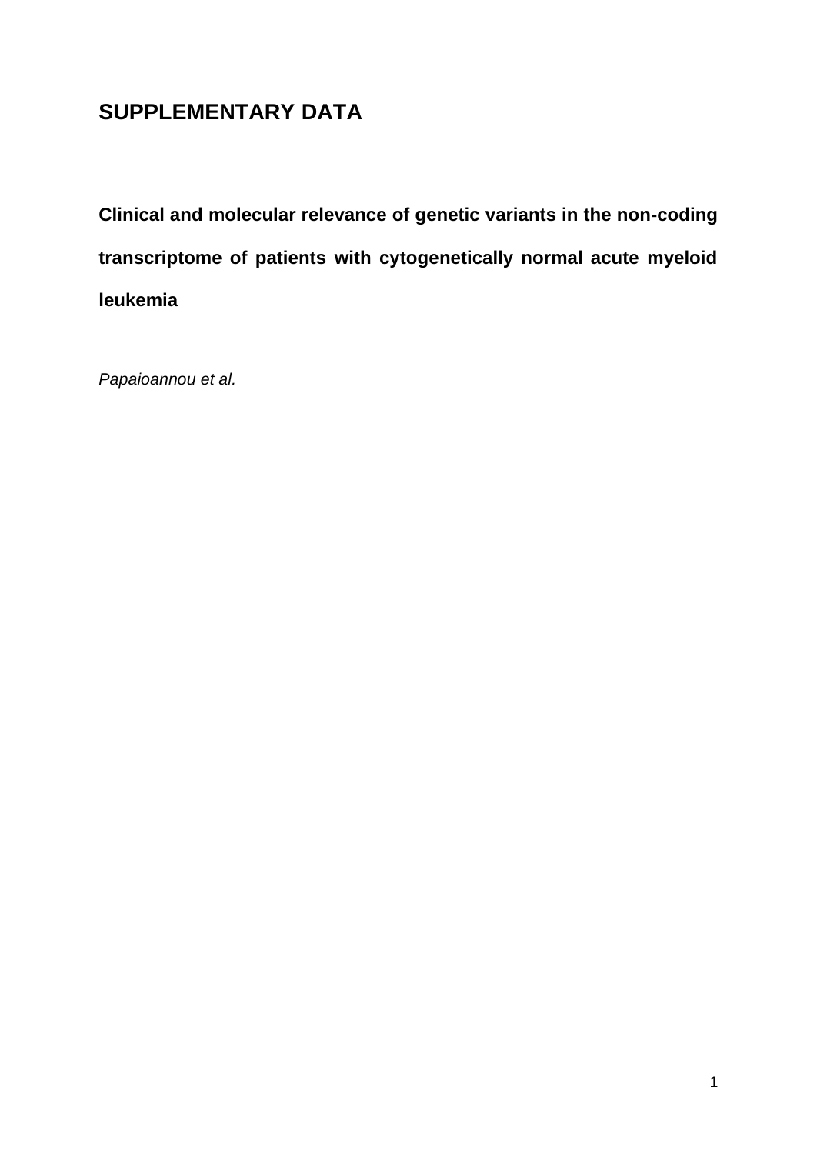# **SUPPLEMENTARY DATA**

**Clinical and molecular relevance of genetic variants in the non-coding transcriptome of patients with cytogenetically normal acute myeloid leukemia**

*Papaioannou et al.*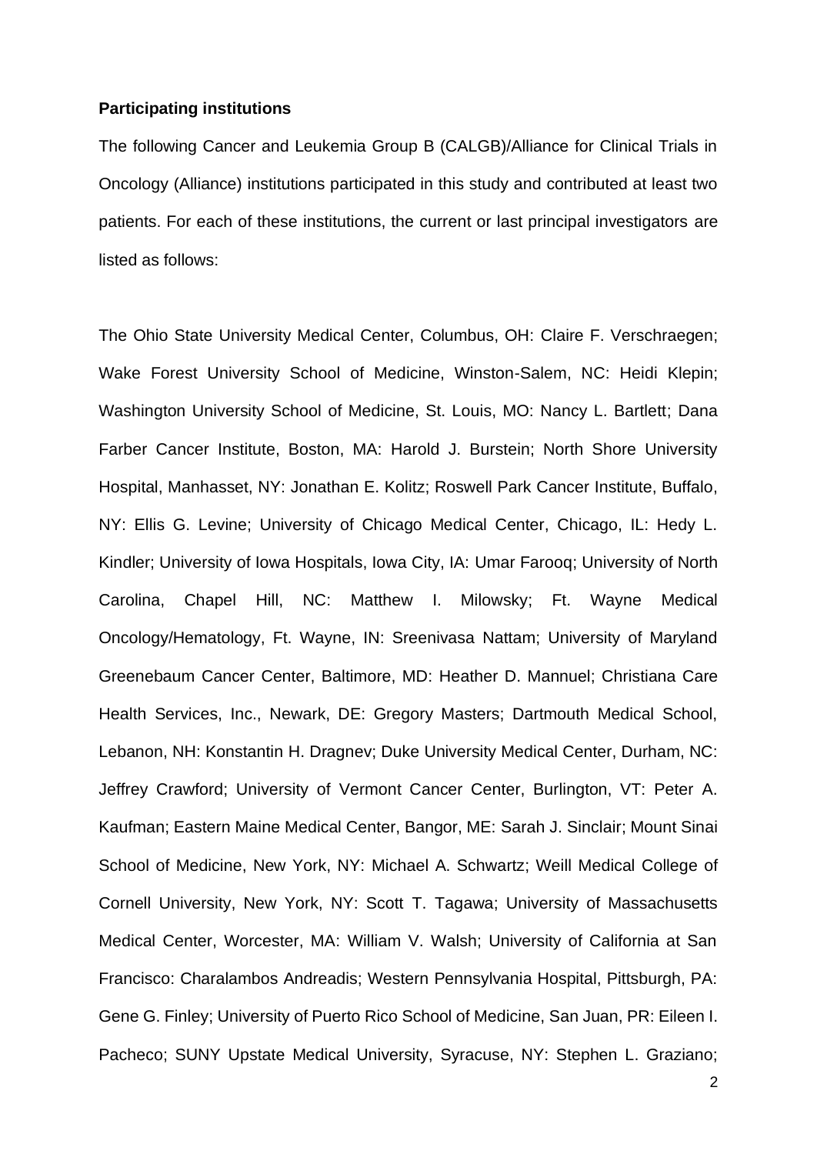#### **Participating institutions**

The following Cancer and Leukemia Group B (CALGB)/Alliance for Clinical Trials in Oncology (Alliance) institutions participated in this study and contributed at least two patients. For each of these institutions, the current or last principal investigators are listed as follows:

The Ohio State University Medical Center, Columbus, OH: Claire F. Verschraegen; Wake Forest University School of Medicine, Winston-Salem, NC: Heidi Klepin; Washington University School of Medicine, St. Louis, MO: Nancy L. Bartlett; Dana Farber Cancer Institute, Boston, MA: Harold J. Burstein; North Shore University Hospital, Manhasset, NY: Jonathan E. Kolitz; Roswell Park Cancer Institute, Buffalo, NY: Ellis G. Levine; University of Chicago Medical Center, Chicago, IL: Hedy L. Kindler; University of Iowa Hospitals, Iowa City, IA: Umar Farooq; University of North Carolina, Chapel Hill, NC: Matthew I. Milowsky; Ft. Wayne Medical Oncology/Hematology, Ft. Wayne, IN: Sreenivasa Nattam; University of Maryland Greenebaum Cancer Center, Baltimore, MD: Heather D. Mannuel; Christiana Care Health Services, Inc., Newark, DE: Gregory Masters; Dartmouth Medical School, Lebanon, NH: Konstantin H. Dragnev; Duke University Medical Center, Durham, NC: Jeffrey Crawford; University of Vermont Cancer Center, Burlington, VT: Peter A. Kaufman; Eastern Maine Medical Center, Bangor, ME: Sarah J. Sinclair; Mount Sinai School of Medicine, New York, NY: Michael A. Schwartz; Weill Medical College of Cornell University, New York, NY: Scott T. Tagawa; University of Massachusetts Medical Center, Worcester, MA: William V. Walsh; University of California at San Francisco: Charalambos Andreadis; Western Pennsylvania Hospital, Pittsburgh, PA: Gene G. Finley; University of Puerto Rico School of Medicine, San Juan, PR: Eileen I. Pacheco; SUNY Upstate Medical University, Syracuse, NY: Stephen L. Graziano;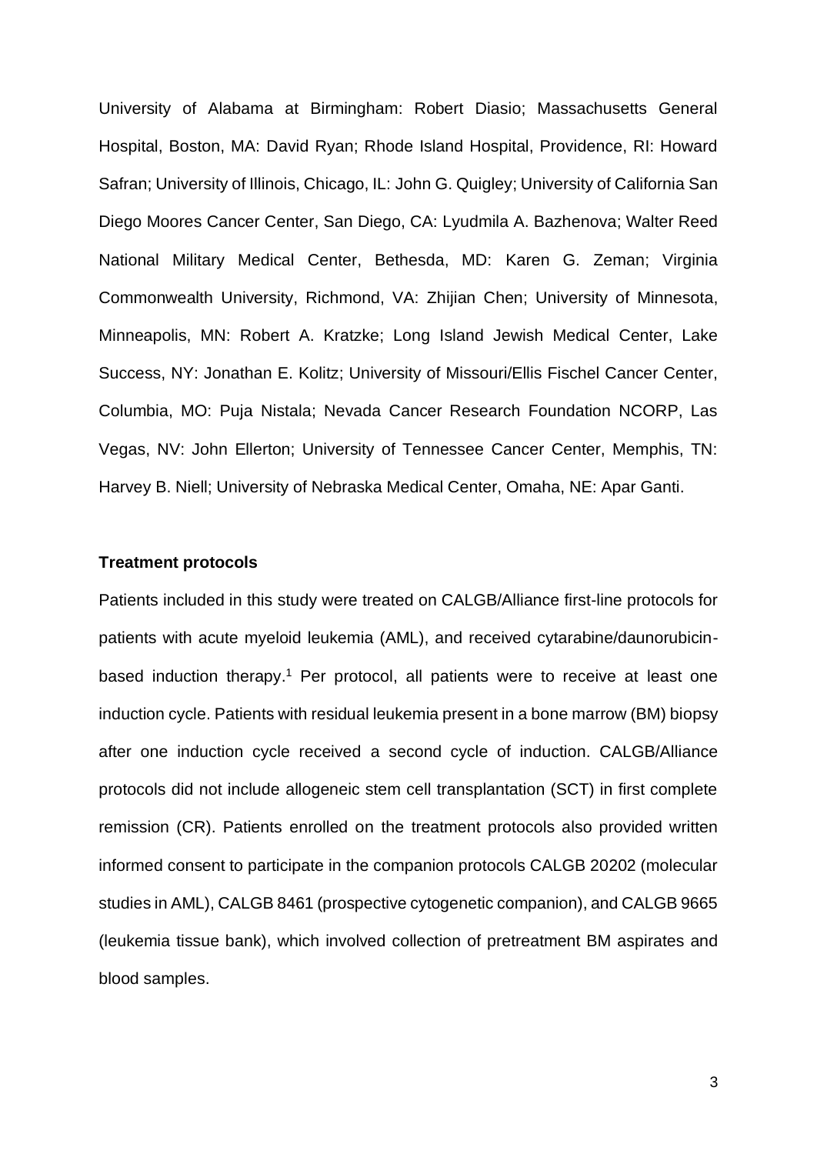University of Alabama at Birmingham: Robert Diasio; Massachusetts General Hospital, Boston, MA: David Ryan; Rhode Island Hospital, Providence, RI: Howard Safran; University of Illinois, Chicago, IL: John G. Quigley; University of California San Diego Moores Cancer Center, San Diego, CA: Lyudmila A. Bazhenova; Walter Reed National Military Medical Center, Bethesda, MD: Karen G. Zeman; Virginia Commonwealth University, Richmond, VA: Zhijian Chen; University of Minnesota, Minneapolis, MN: Robert A. Kratzke; Long Island Jewish Medical Center, Lake Success, NY: Jonathan E. Kolitz; University of Missouri/Ellis Fischel Cancer Center, Columbia, MO: Puja Nistala; Nevada Cancer Research Foundation NCORP, Las Vegas, NV: John Ellerton; University of Tennessee Cancer Center, Memphis, TN: Harvey B. Niell; University of Nebraska Medical Center, Omaha, NE: Apar Ganti.

## **Treatment protocols**

Patients included in this study were treated on CALGB/Alliance first-line protocols for patients with acute myeloid leukemia (AML), and received cytarabine/daunorubicinbased induction therapy.<sup>1</sup> Per protocol, all patients were to receive at least one induction cycle. Patients with residual leukemia present in a bone marrow (BM) biopsy after one induction cycle received a second cycle of induction. CALGB/Alliance protocols did not include allogeneic stem cell transplantation (SCT) in first complete remission (CR). Patients enrolled on the treatment protocols also provided written informed consent to participate in the companion protocols CALGB 20202 (molecular studies in AML), CALGB 8461 (prospective cytogenetic companion), and CALGB 9665 (leukemia tissue bank), which involved collection of pretreatment BM aspirates and blood samples.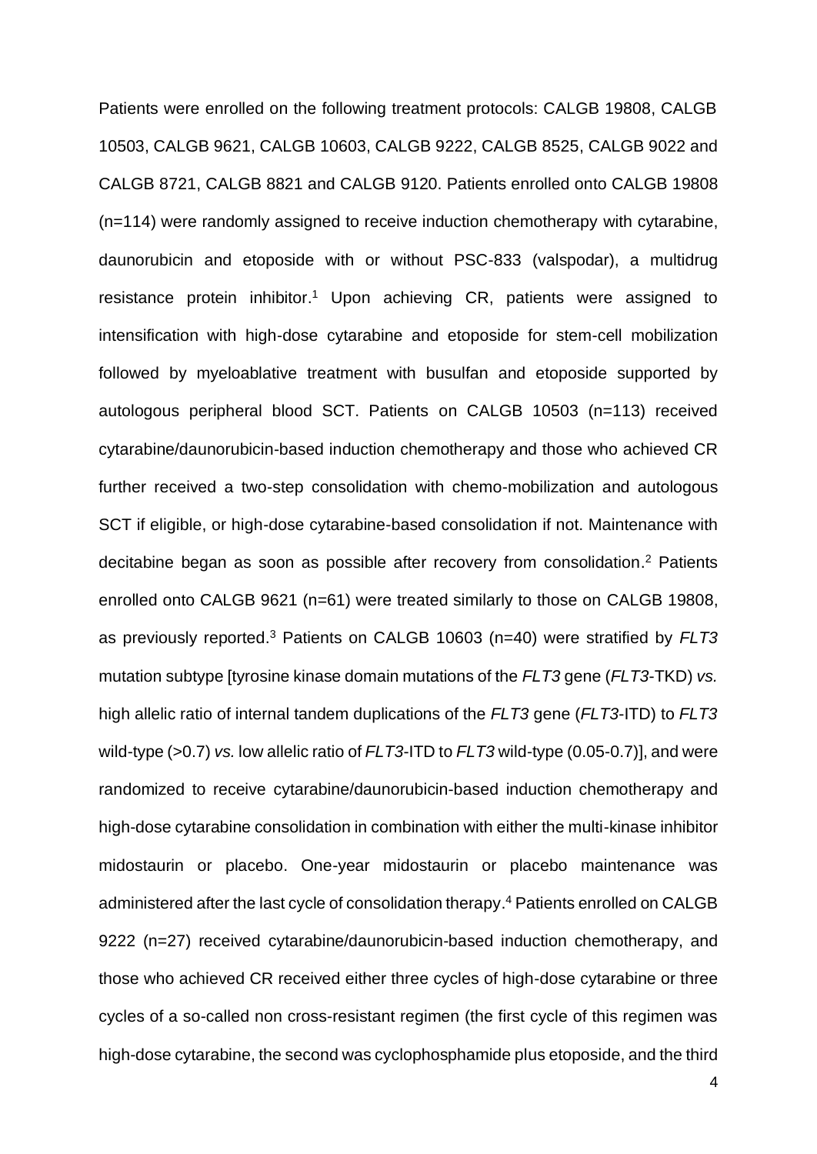Patients were enrolled on the following treatment protocols: CALGB 19808, CALGB 10503, CALGB 9621, CALGB 10603, CALGB 9222, CALGB 8525, CALGB 9022 and CALGB 8721, CALGB 8821 and CALGB 9120. Patients enrolled onto CALGB 19808 (n=114) were randomly assigned to receive induction chemotherapy with cytarabine, daunorubicin and etoposide with or without PSC-833 (valspodar), a multidrug resistance protein inhibitor. <sup>1</sup> Upon achieving CR, patients were assigned to intensification with high-dose cytarabine and etoposide for stem-cell mobilization followed by myeloablative treatment with busulfan and etoposide supported by autologous peripheral blood SCT. Patients on CALGB 10503 (n=113) received cytarabine/daunorubicin-based induction chemotherapy and those who achieved CR further received a two-step consolidation with chemo-mobilization and autologous SCT if eligible, or high-dose cytarabine-based consolidation if not. Maintenance with decitabine began as soon as possible after recovery from consolidation. <sup>2</sup> Patients enrolled onto CALGB 9621 (n=61) were treated similarly to those on CALGB 19808, as previously reported.<sup>3</sup> Patients on CALGB 10603 (n=40) were stratified by *FLT3* mutation subtype [tyrosine kinase domain mutations of the *FLT3* gene (*FLT3*-TKD) *vs.* high allelic ratio of internal tandem duplications of the *FLT3* gene (*FLT3*-ITD) to *FLT3* wild-type (>0.7) *vs.* low allelic ratio of *FLT3*-ITD to *FLT3* wild-type (0.05-0.7)], and were randomized to receive cytarabine/daunorubicin-based induction chemotherapy and high-dose cytarabine consolidation in combination with either the multi-kinase inhibitor midostaurin or placebo. One-year midostaurin or placebo maintenance was administered after the last cycle of consolidation therapy. <sup>4</sup> Patients enrolled on CALGB 9222 (n=27) received cytarabine/daunorubicin-based induction chemotherapy, and those who achieved CR received either three cycles of high-dose cytarabine or three cycles of a so-called non cross-resistant regimen (the first cycle of this regimen was high-dose cytarabine, the second was cyclophosphamide plus etoposide, and the third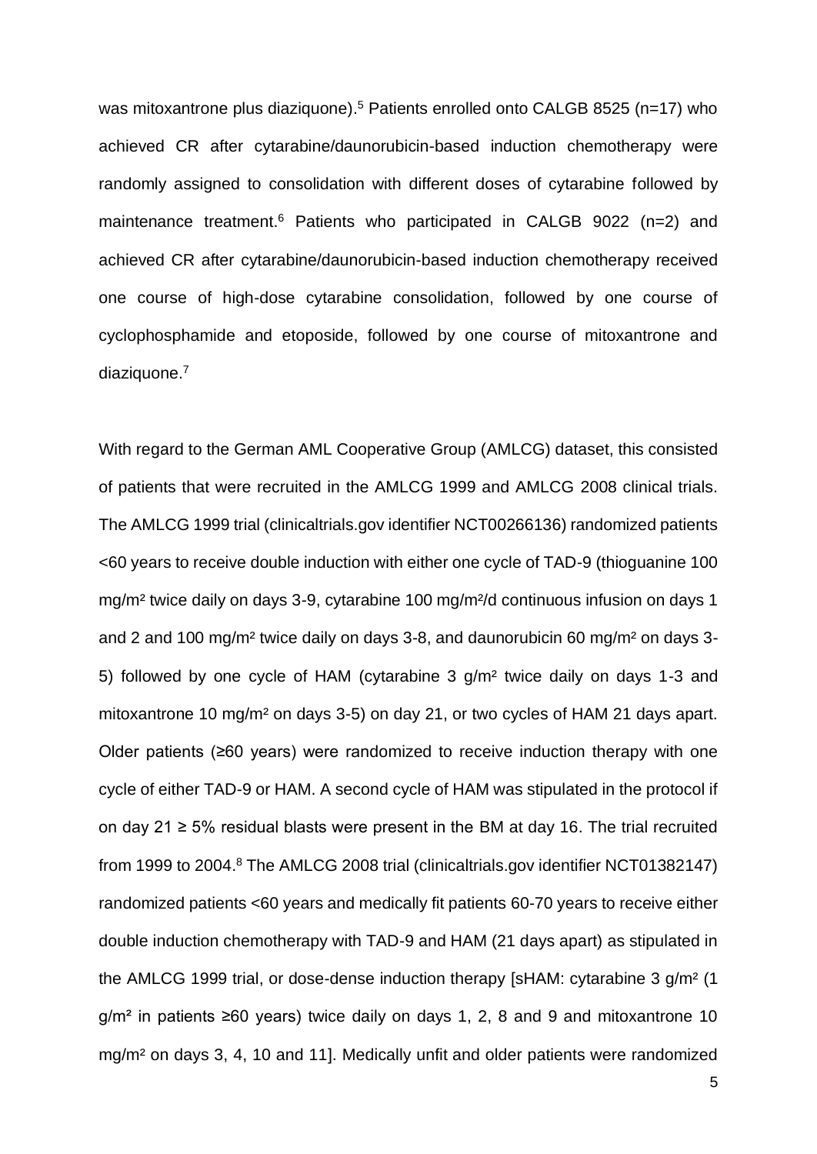was mitoxantrone plus diaziquone).<sup>5</sup> Patients enrolled onto CALGB 8525 (n=17) who achieved CR after cytarabine/daunorubicin-based induction chemotherapy were randomly assigned to consolidation with different doses of cytarabine followed by maintenance treatment.<sup>6</sup> Patients who participated in CALGB 9022 (n=2) and achieved CR after cytarabine/daunorubicin-based induction chemotherapy received one course of high-dose cytarabine consolidation, followed by one course of cyclophosphamide and etoposide, followed by one course of mitoxantrone and diaziquone.<sup>7</sup>

With regard to the German AML Cooperative Group (AMLCG) dataset, this consisted of patients that were recruited in the AMLCG 1999 and AMLCG 2008 clinical trials. The AMLCG 1999 trial (clinicaltrials.gov identifier NCT00266136) randomized patients <60 years to receive double induction with either one cycle of TAD-9 (thioguanine 100 mg/m² twice daily on days 3-9, cytarabine 100 mg/m²/d continuous infusion on days 1 and 2 and 100 mg/m² twice daily on days 3-8, and daunorubicin 60 mg/m² on days 3- 5) followed by one cycle of HAM (cytarabine 3 g/m² twice daily on days 1-3 and mitoxantrone 10 mg/m² on days 3-5) on day 21, or two cycles of HAM 21 days apart. Older patients (≥60 years) were randomized to receive induction therapy with one cycle of either TAD-9 or HAM. A second cycle of HAM was stipulated in the protocol if on day 21  $\ge$  5% residual blasts were present in the BM at day 16. The trial recruited from 1999 to 2004.<sup>8</sup> The AMLCG 2008 trial (clinicaltrials.gov identifier NCT01382147) randomized patients <60 years and medically fit patients 60-70 years to receive either double induction chemotherapy with TAD-9 and HAM (21 days apart) as stipulated in the AMLCG 1999 trial, or dose-dense induction therapy [sHAM: cytarabine 3 g/m² (1  $g/m<sup>2</sup>$  in patients ≥60 years) twice daily on days 1, 2, 8 and 9 and mitoxantrone 10 mg/m² on days 3, 4, 10 and 11]. Medically unfit and older patients were randomized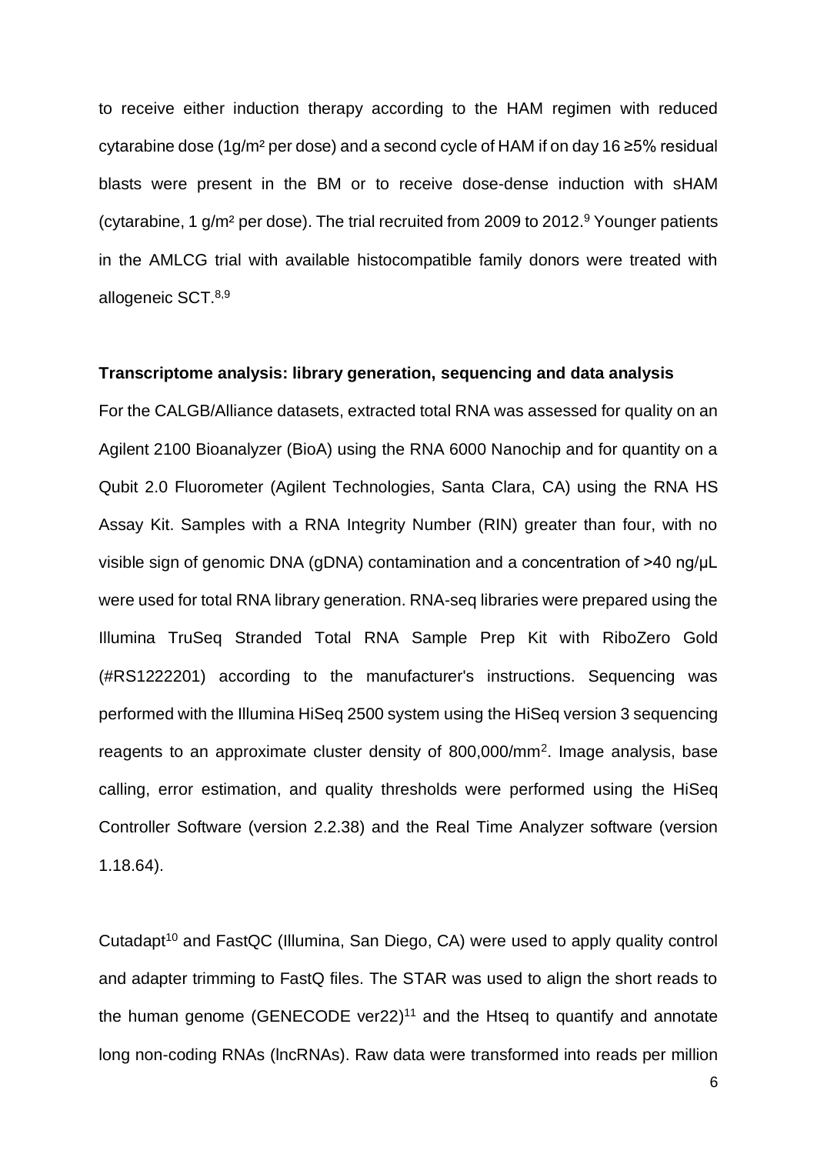to receive either induction therapy according to the HAM regimen with reduced cytarabine dose (1g/m² per dose) and a second cycle of HAM if on day 16 ≥5% residual blasts were present in the BM or to receive dose-dense induction with sHAM (cytarabine, 1 g/m² per dose). The trial recruited from 2009 to 2012. <sup>9</sup> Younger patients in the AMLCG trial with available histocompatible family donors were treated with allogeneic SCT.8,9

### **Transcriptome analysis: library generation, sequencing and data analysis**

For the CALGB/Alliance datasets, extracted total RNA was assessed for quality on an Agilent 2100 Bioanalyzer (BioA) using the RNA 6000 Nanochip and for quantity on a Qubit 2.0 Fluorometer (Agilent Technologies, Santa Clara, CA) using the RNA HS Assay Kit. Samples with a RNA Integrity Number (RIN) greater than four, with no visible sign of genomic DNA (gDNA) contamination and a concentration of >40 ng/μL were used for total RNA library generation. RNA-seq libraries were prepared using the Illumina TruSeq Stranded Total RNA Sample Prep Kit with RiboZero Gold (#RS1222201) according to the manufacturer's instructions. Sequencing was performed with the Illumina HiSeq 2500 system using the HiSeq version 3 sequencing reagents to an approximate cluster density of 800,000/mm<sup>2</sup>. Image analysis, base calling, error estimation, and quality thresholds were performed using the HiSeq Controller Software (version 2.2.38) and the Real Time Analyzer software (version 1.18.64).

Cutadapt<sup>10</sup> and FastQC (Illumina, San Diego, CA) were used to apply quality control and adapter trimming to FastQ files. The STAR was used to align the short reads to the human genome (GENECODE ver22) $11$  and the Htseq to quantify and annotate long non-coding RNAs (lncRNAs). Raw data were transformed into reads per million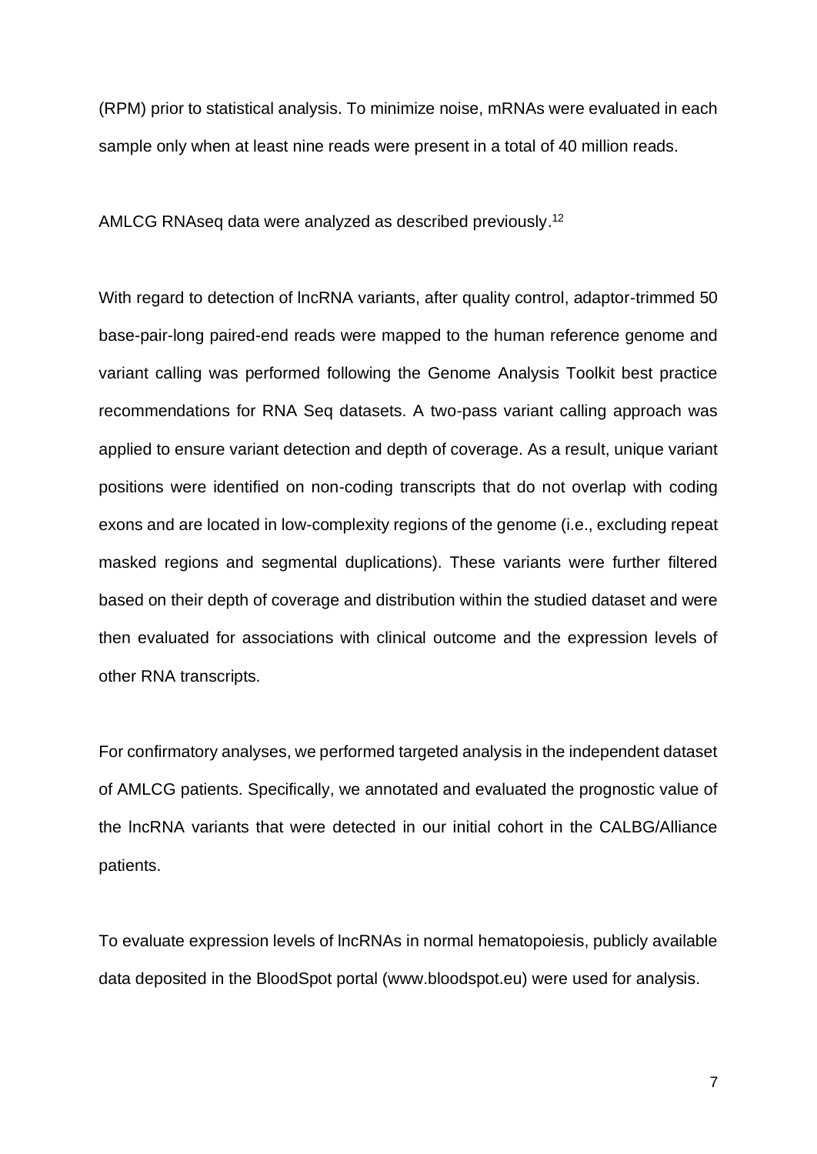(RPM) prior to statistical analysis. To minimize noise, mRNAs were evaluated in each sample only when at least nine reads were present in a total of 40 million reads.

AMLCG RNAseq data were analyzed as described previously. 12

With regard to detection of lncRNA variants, after quality control, adaptor-trimmed 50 base-pair-long paired-end reads were mapped to the human reference genome and variant calling was performed following the Genome Analysis Toolkit best practice recommendations for RNA Seq datasets. A two-pass variant calling approach was applied to ensure variant detection and depth of coverage. As a result, unique variant positions were identified on non-coding transcripts that do not overlap with coding exons and are located in low-complexity regions of the genome (i.e., excluding repeat masked regions and segmental duplications). These variants were further filtered based on their depth of coverage and distribution within the studied dataset and were then evaluated for associations with clinical outcome and the expression levels of other RNA transcripts.

For confirmatory analyses, we performed targeted analysis in the independent dataset of AMLCG patients. Specifically, we annotated and evaluated the prognostic value of the lncRNA variants that were detected in our initial cohort in the CALBG/Alliance patients.

To evaluate expression levels of lncRNAs in normal hematopoiesis, publicly available data deposited in the BloodSpot portal (www.bloodspot.eu) were used for analysis.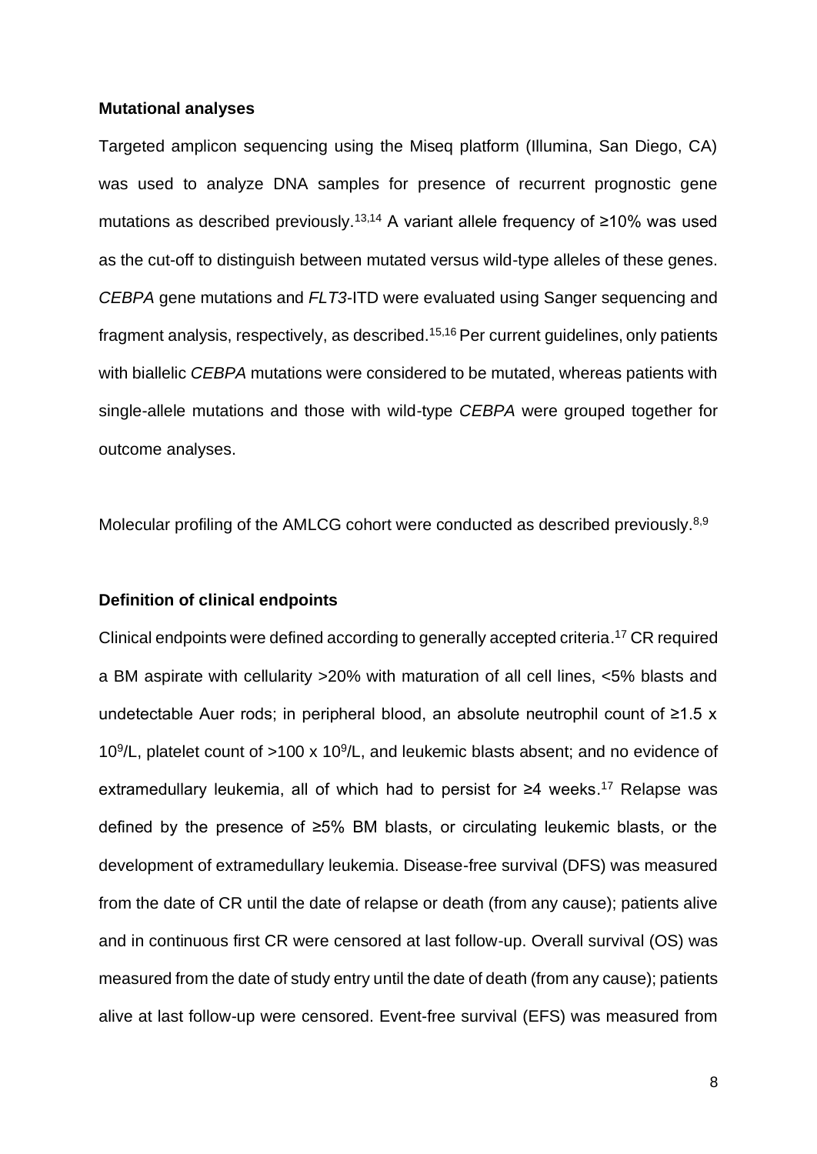#### **Mutational analyses**

Targeted amplicon sequencing using the Miseq platform (Illumina, San Diego, CA) was used to analyze DNA samples for presence of recurrent prognostic gene mutations as described previously.13,14 A variant allele frequency of ≥10% was used as the cut-off to distinguish between mutated versus wild-type alleles of these genes. *CEBPA* gene mutations and *FLT3*-ITD were evaluated using Sanger sequencing and fragment analysis, respectively, as described.15,16 Per current guidelines, only patients with biallelic *CEBPA* mutations were considered to be mutated, whereas patients with single-allele mutations and those with wild-type *CEBPA* were grouped together for outcome analyses.

Molecular profiling of the AMLCG cohort were conducted as described previously.<sup>8,9</sup>

#### **Definition of clinical endpoints**

Clinical endpoints were defined according to generally accepted criteria. <sup>17</sup> CR required a BM aspirate with cellularity >20% with maturation of all cell lines, <5% blasts and undetectable Auer rods; in peripheral blood, an absolute neutrophil count of ≥1.5 x 10 $9$ /L, platelet count of >100 x 10 $9$ /L, and leukemic blasts absent; and no evidence of extramedullary leukemia, all of which had to persist for ≥4 weeks. <sup>17</sup> Relapse was defined by the presence of ≥5% BM blasts, or circulating leukemic blasts, or the development of extramedullary leukemia. Disease-free survival (DFS) was measured from the date of CR until the date of relapse or death (from any cause); patients alive and in continuous first CR were censored at last follow-up. Overall survival (OS) was measured from the date of study entry until the date of death (from any cause); patients alive at last follow-up were censored. Event-free survival (EFS) was measured from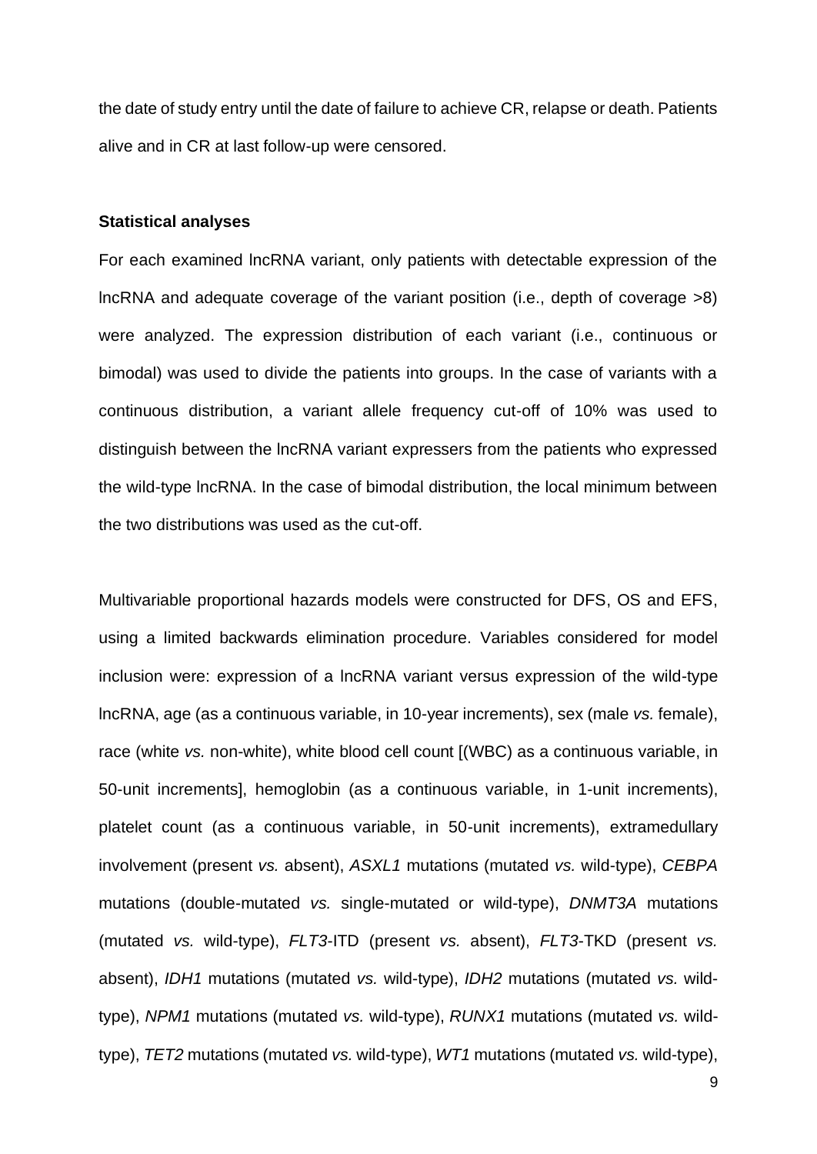the date of study entry until the date of failure to achieve CR, relapse or death. Patients alive and in CR at last follow-up were censored.

#### **Statistical analyses**

For each examined lncRNA variant, only patients with detectable expression of the lncRNA and adequate coverage of the variant position (i.e., depth of coverage >8) were analyzed. The expression distribution of each variant (i.e., continuous or bimodal) was used to divide the patients into groups. In the case of variants with a continuous distribution, a variant allele frequency cut-off of 10% was used to distinguish between the lncRNA variant expressers from the patients who expressed the wild-type lncRNA. In the case of bimodal distribution, the local minimum between the two distributions was used as the cut-off.

Multivariable proportional hazards models were constructed for DFS, OS and EFS, using a limited backwards elimination procedure. Variables considered for model inclusion were: expression of a lncRNA variant versus expression of the wild-type lncRNA, age (as a continuous variable, in 10-year increments), sex (male *vs.* female), race (white *vs.* non-white), white blood cell count [(WBC) as a continuous variable, in 50-unit increments], hemoglobin (as a continuous variable, in 1-unit increments), platelet count (as a continuous variable, in 50-unit increments), extramedullary involvement (present *vs.* absent), *ASXL1* mutations (mutated *vs.* wild-type), *CEBPA* mutations (double-mutated *vs.* single-mutated or wild-type), *DNMT3A* mutations (mutated *vs.* wild-type), *FLT3*-ITD (present *vs.* absent), *FLT3*-TKD (present *vs.* absent), *IDH1* mutations (mutated *vs.* wild-type), *IDH2* mutations (mutated *vs.* wildtype), *NPM1* mutations (mutated *vs.* wild-type), *RUNX1* mutations (mutated *vs.* wildtype), *TET2* mutations (mutated *vs.* wild-type), *WT1* mutations (mutated *vs.* wild-type),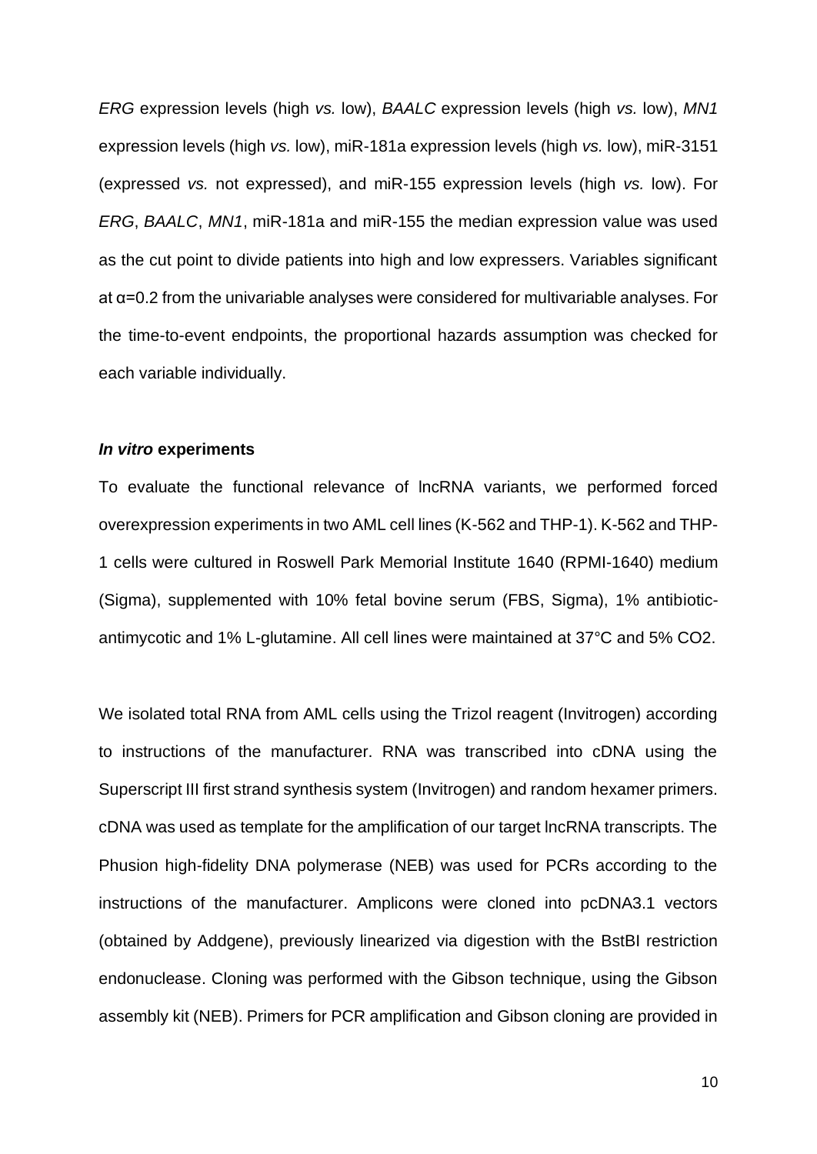*ERG* expression levels (high *vs.* low), *BAALC* expression levels (high *vs.* low), *MN1* expression levels (high *vs.* low), miR-181a expression levels (high *vs.* low), miR-3151 (expressed *vs.* not expressed), and miR-155 expression levels (high *vs.* low). For *ERG*, *BAALC*, *MN1*, miR-181a and miR-155 the median expression value was used as the cut point to divide patients into high and low expressers. Variables significant at α=0.2 from the univariable analyses were considered for multivariable analyses. For the time-to-event endpoints, the proportional hazards assumption was checked for each variable individually.

#### *In vitro* **experiments**

To evaluate the functional relevance of lncRNA variants, we performed forced overexpression experiments in two AML cell lines (K-562 and THP-1). K-562 and THP-1 cells were cultured in Roswell Park Memorial Institute 1640 (RPMI-1640) medium (Sigma), supplemented with 10% fetal bovine serum (FBS, Sigma), 1% antibioticantimycotic and 1% L-glutamine. All cell lines were maintained at 37°C and 5% CO2.

We isolated total RNA from AML cells using the Trizol reagent (Invitrogen) according to instructions of the manufacturer. RNA was transcribed into cDNA using the Superscript III first strand synthesis system (Invitrogen) and random hexamer primers. cDNA was used as template for the amplification of our target lncRNA transcripts. The Phusion high-fidelity DNA polymerase (NEB) was used for PCRs according to the instructions of the manufacturer. Amplicons were cloned into pcDNA3.1 vectors (obtained by Addgene), previously linearized via digestion with the BstBI restriction endonuclease. Cloning was performed with the Gibson technique, using the Gibson assembly kit (NEB). Primers for PCR amplification and Gibson cloning are provided in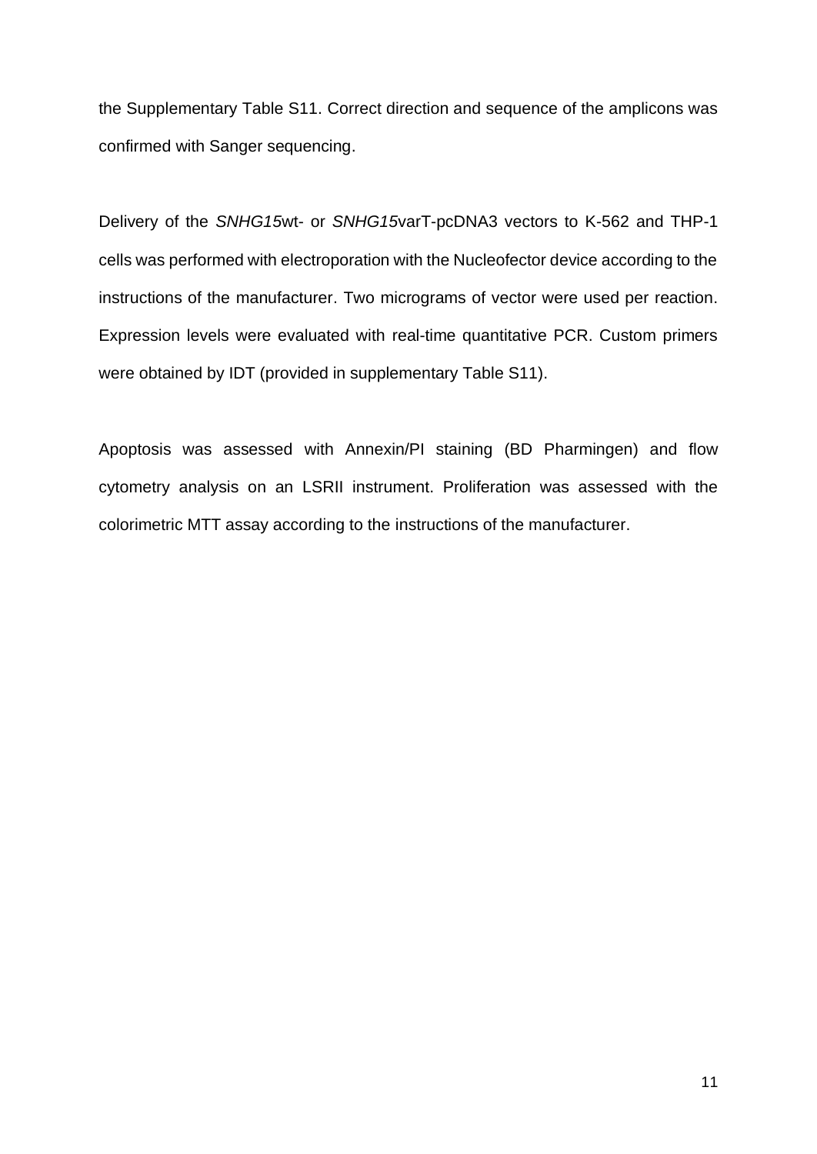the Supplementary Table S11. Correct direction and sequence of the amplicons was confirmed with Sanger sequencing.

Delivery of the *SNHG15*wt- or *SNHG15*varT-pcDNA3 vectors to K-562 and THP-1 cells was performed with electroporation with the Nucleofector device according to the instructions of the manufacturer. Two micrograms of vector were used per reaction. Expression levels were evaluated with real-time quantitative PCR. Custom primers were obtained by IDT (provided in supplementary Table S11).

Apoptosis was assessed with Annexin/PI staining (BD Pharmingen) and flow cytometry analysis on an LSRII instrument. Proliferation was assessed with the colorimetric MTT assay according to the instructions of the manufacturer.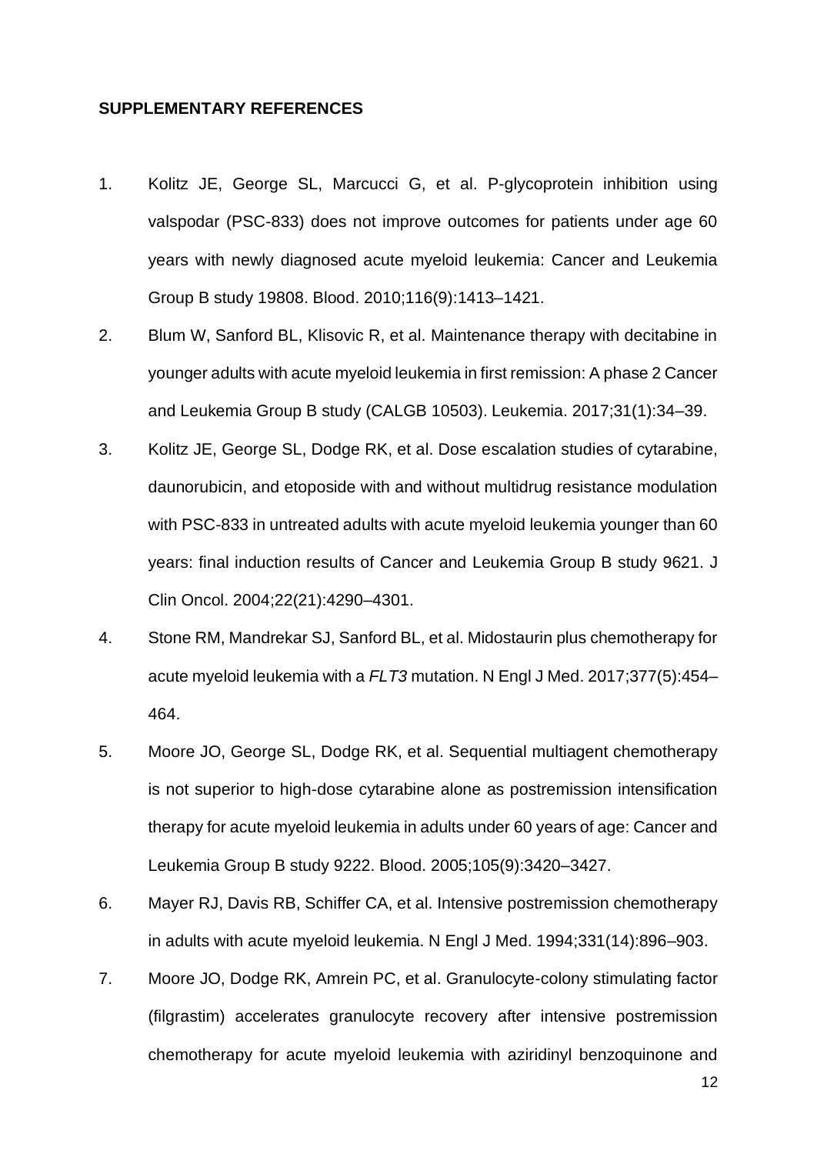#### **SUPPLEMENTARY REFERENCES**

- 1. Kolitz JE, George SL, Marcucci G, et al. P-glycoprotein inhibition using valspodar (PSC-833) does not improve outcomes for patients under age 60 years with newly diagnosed acute myeloid leukemia: Cancer and Leukemia Group B study 19808. Blood. 2010;116(9):1413–1421.
- 2. Blum W, Sanford BL, Klisovic R, et al. Maintenance therapy with decitabine in younger adults with acute myeloid leukemia in first remission: A phase 2 Cancer and Leukemia Group B study (CALGB 10503). Leukemia. 2017;31(1):34–39.
- 3. Kolitz JE, George SL, Dodge RK, et al. Dose escalation studies of cytarabine, daunorubicin, and etoposide with and without multidrug resistance modulation with PSC-833 in untreated adults with acute myeloid leukemia younger than 60 years: final induction results of Cancer and Leukemia Group B study 9621. J Clin Oncol. 2004;22(21):4290–4301.
- 4. Stone RM, Mandrekar SJ, Sanford BL, et al. Midostaurin plus chemotherapy for acute myeloid leukemia with a *FLT3* mutation. N Engl J Med. 2017;377(5):454– 464.
- 5. Moore JO, George SL, Dodge RK, et al. Sequential multiagent chemotherapy is not superior to high-dose cytarabine alone as postremission intensification therapy for acute myeloid leukemia in adults under 60 years of age: Cancer and Leukemia Group B study 9222. Blood. 2005;105(9):3420–3427.
- 6. Mayer RJ, Davis RB, Schiffer CA, et al. Intensive postremission chemotherapy in adults with acute myeloid leukemia. N Engl J Med. 1994;331(14):896–903.
- 7. Moore JO, Dodge RK, Amrein PC, et al. Granulocyte-colony stimulating factor (filgrastim) accelerates granulocyte recovery after intensive postremission chemotherapy for acute myeloid leukemia with aziridinyl benzoquinone and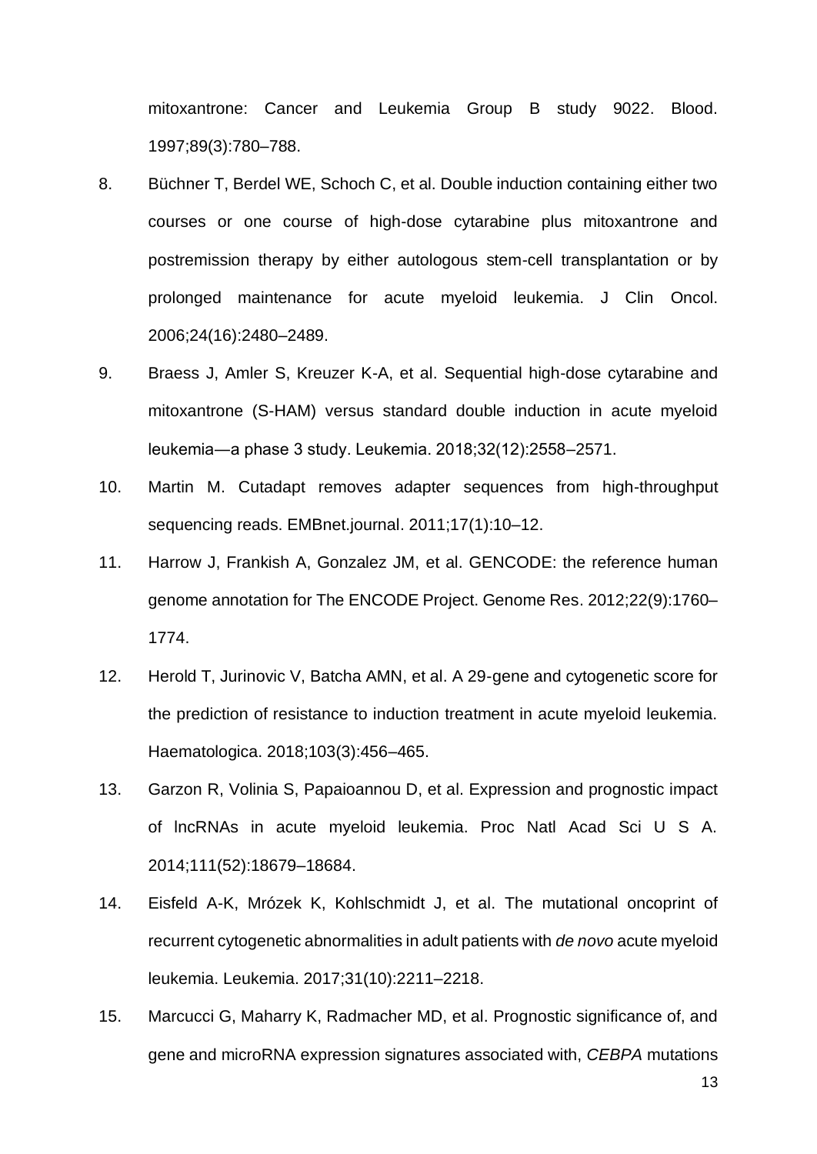mitoxantrone: Cancer and Leukemia Group B study 9022. Blood. 1997;89(3):780–788.

- 8. Büchner T, Berdel WE, Schoch C, et al. Double induction containing either two courses or one course of high-dose cytarabine plus mitoxantrone and postremission therapy by either autologous stem-cell transplantation or by prolonged maintenance for acute myeloid leukemia. J Clin Oncol. 2006;24(16):2480–2489.
- 9. Braess J, Amler S, Kreuzer K-A, et al. Sequential high-dose cytarabine and mitoxantrone (S-HAM) versus standard double induction in acute myeloid leukemia―a phase 3 study. Leukemia. 2018;32(12):2558–2571.
- 10. Martin M. Cutadapt removes adapter sequences from high-throughput sequencing reads. EMBnet.journal. 2011;17(1):10–12.
- 11. Harrow J, Frankish A, Gonzalez JM, et al. GENCODE: the reference human genome annotation for The ENCODE Project. Genome Res. 2012;22(9):1760– 1774.
- 12. Herold T, Jurinovic V, Batcha AMN, et al. A 29-gene and cytogenetic score for the prediction of resistance to induction treatment in acute myeloid leukemia. Haematologica. 2018;103(3):456–465.
- 13. Garzon R, Volinia S, Papaioannou D, et al. Expression and prognostic impact of lncRNAs in acute myeloid leukemia. Proc Natl Acad Sci U S A. 2014;111(52):18679–18684.
- 14. Eisfeld A-K, Mrózek K, Kohlschmidt J, et al. The mutational oncoprint of recurrent cytogenetic abnormalities in adult patients with *de novo* acute myeloid leukemia. Leukemia. 2017;31(10):2211–2218.
- 15. Marcucci G, Maharry K, Radmacher MD, et al. Prognostic significance of, and gene and microRNA expression signatures associated with, *CEBPA* mutations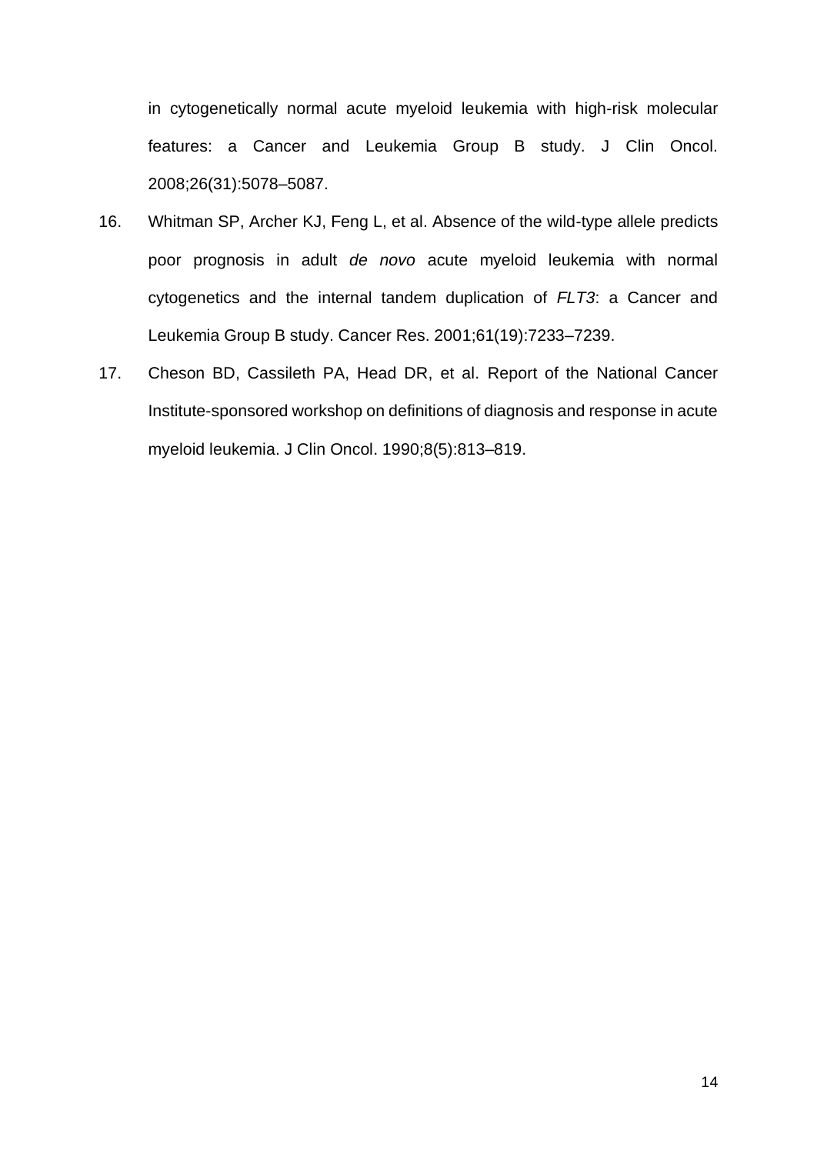in cytogenetically normal acute myeloid leukemia with high-risk molecular features: a Cancer and Leukemia Group B study. J Clin Oncol. 2008;26(31):5078–5087.

- 16. Whitman SP, Archer KJ, Feng L, et al. Absence of the wild-type allele predicts poor prognosis in adult *de novo* acute myeloid leukemia with normal cytogenetics and the internal tandem duplication of *FLT3*: a Cancer and Leukemia Group B study. Cancer Res. 2001;61(19):7233–7239.
- 17. Cheson BD, Cassileth PA, Head DR, et al. Report of the National Cancer Institute-sponsored workshop on definitions of diagnosis and response in acute myeloid leukemia. J Clin Oncol. 1990;8(5):813–819.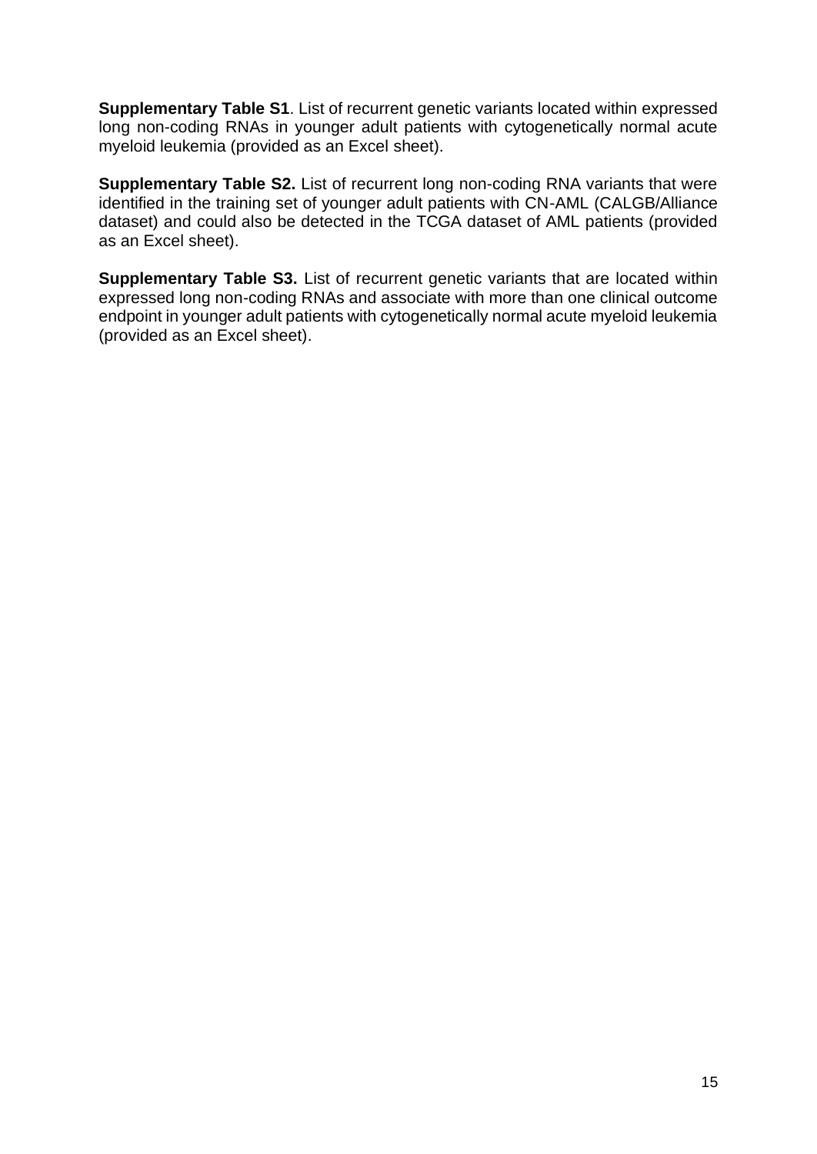**Supplementary Table S1**. List of recurrent genetic variants located within expressed long non-coding RNAs in younger adult patients with cytogenetically normal acute myeloid leukemia (provided as an Excel sheet).

**Supplementary Table S2.** List of recurrent long non-coding RNA variants that were identified in the training set of younger adult patients with CN-AML (CALGB/Alliance dataset) and could also be detected in the TCGA dataset of AML patients (provided as an Excel sheet).

**Supplementary Table S3.** List of recurrent genetic variants that are located within expressed long non-coding RNAs and associate with more than one clinical outcome endpoint in younger adult patients with cytogenetically normal acute myeloid leukemia (provided as an Excel sheet).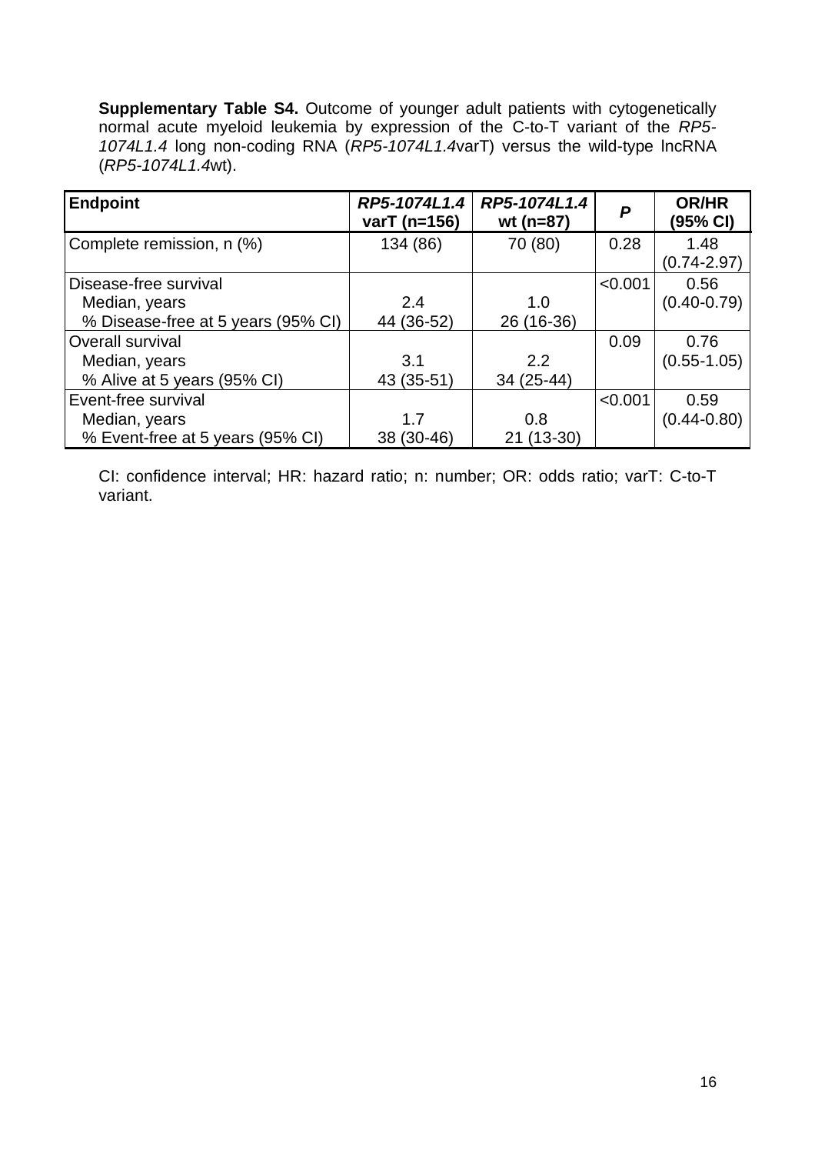**Supplementary Table S4.** Outcome of younger adult patients with cytogenetically normal acute myeloid leukemia by expression of the C-to-T variant of the *RP5- 1074L1.4* long non-coding RNA (*RP5-1074L1.4*varT) versus the wild-type lncRNA (*RP5-1074L1.4*wt).

| <b>Endpoint</b>                    | RP5-1074L1.4<br>varT (n=156) | RP5-1074L1.4<br>wt ( $n=87$ ) | P       | <b>OR/HR</b><br>(95% CI) |
|------------------------------------|------------------------------|-------------------------------|---------|--------------------------|
| Complete remission, n (%)          | 134 (86)                     | 70 (80)                       | 0.28    | 1.48<br>$(0.74 - 2.97)$  |
| Disease-free survival              |                              |                               | < 0.001 | 0.56                     |
| Median, years                      | 2.4                          | 1.0                           |         | $(0.40 - 0.79)$          |
| % Disease-free at 5 years (95% CI) | 44 (36-52)                   | 26 (16-36)                    |         |                          |
| Overall survival                   |                              |                               | 0.09    | 0.76                     |
| Median, years                      | 3.1                          | 2.2                           |         | $(0.55 - 1.05)$          |
| % Alive at 5 years (95% CI)        | 43 (35-51)                   | 34 (25-44)                    |         |                          |
| Event-free survival                |                              |                               | < 0.001 | 0.59                     |
| Median, years                      | 1.7                          | 0.8                           |         | $(0.44 - 0.80)$          |
| % Event-free at 5 years (95% CI)   | 38 (30-46)                   | 21 (13-30)                    |         |                          |

CI: confidence interval; HR: hazard ratio; n: number; OR: odds ratio; varT: C-to-T variant.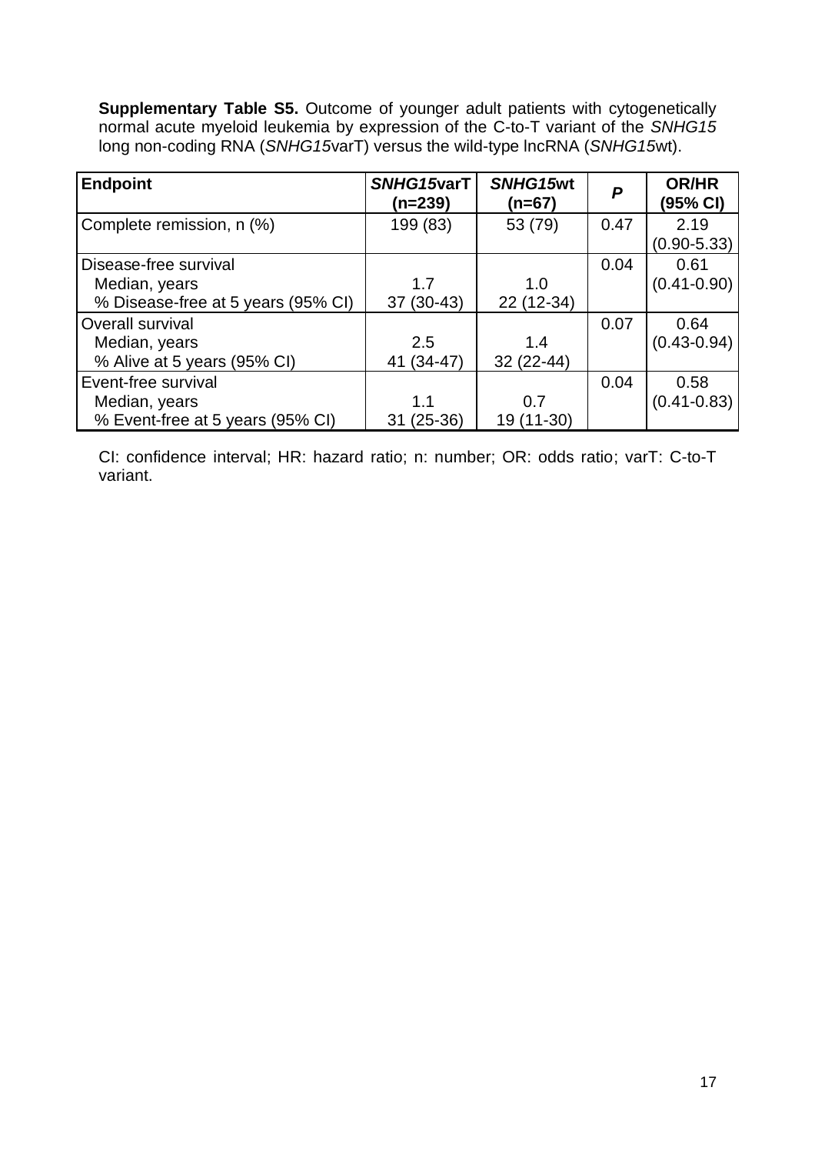**Supplementary Table S5.** Outcome of younger adult patients with cytogenetically normal acute myeloid leukemia by expression of the C-to-T variant of the *SNHG15*  long non-coding RNA (*SNHG15*varT) versus the wild-type lncRNA (*SNHG15*wt).

| <b>Endpoint</b>                    | SNHG15varT<br>$(n=239)$ | SNHG15wt<br>$(n=67)$ | P    | <b>OR/HR</b><br>(95% CI) |
|------------------------------------|-------------------------|----------------------|------|--------------------------|
| Complete remission, n (%)          | 199 (83)                | 53 (79)              | 0.47 | 2.19                     |
|                                    |                         |                      |      | $(0.90 - 5.33)$          |
| Disease-free survival              |                         |                      | 0.04 | 0.61                     |
| Median, years                      | 1.7                     | 1.0                  |      | $(0.41 - 0.90)$          |
| % Disease-free at 5 years (95% CI) | $37(30-43)$             | 22 (12-34)           |      |                          |
| Overall survival                   |                         |                      | 0.07 | 0.64                     |
| Median, years                      | 2.5                     | 1.4                  |      | $(0.43 - 0.94)$          |
| % Alive at 5 years (95% CI)        | 41 (34-47)              | 32 (22-44)           |      |                          |
| Event-free survival                |                         |                      | 0.04 | 0.58                     |
| Median, years                      | 1.1                     | 0.7                  |      | $(0.41 - 0.83)$          |
| % Event-free at 5 years (95% CI)   | 31 (25-36)              | 19 (11-30)           |      |                          |

CI: confidence interval; HR: hazard ratio; n: number; OR: odds ratio; varT: C-to-T variant.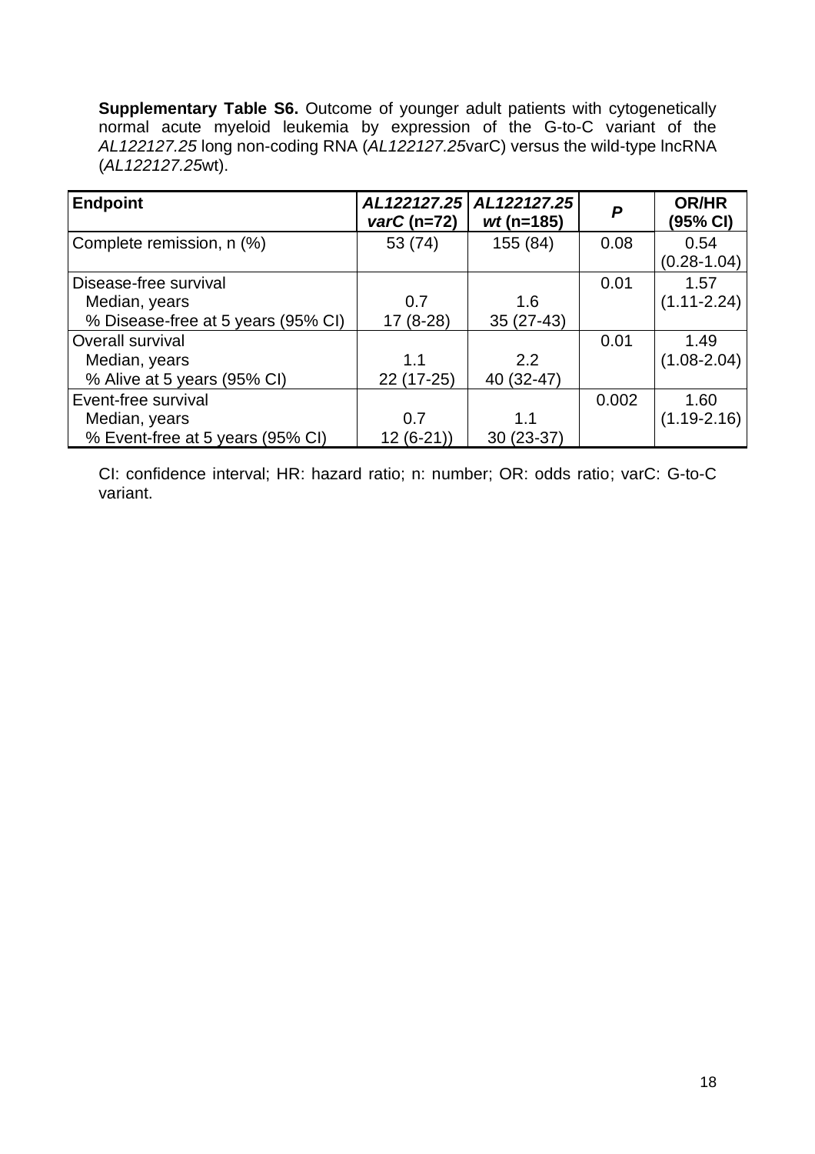**Supplementary Table S6.** Outcome of younger adult patients with cytogenetically normal acute myeloid leukemia by expression of the G-to-C variant of the *AL122127.25* long non-coding RNA (*AL122127.25*varC) versus the wild-type lncRNA (*AL122127.25*wt).

| <b>Endpoint</b>                    | AL122127.25<br>$\textit{varC}$ (n=72) | AL122127.25<br>$wt$ (n=185) | P     | <b>OR/HR</b><br>(95% CI) |
|------------------------------------|---------------------------------------|-----------------------------|-------|--------------------------|
| Complete remission, n (%)          | 53 (74)                               | 155 (84)                    | 0.08  | 0.54<br>$(0.28 - 1.04)$  |
| Disease-free survival              |                                       |                             | 0.01  | 1.57                     |
| Median, years                      | 0.7                                   | 1.6                         |       | $(1.11 - 2.24)$          |
| % Disease-free at 5 years (95% CI) | $17(8-28)$                            | $35(27-43)$                 |       |                          |
| Overall survival                   |                                       |                             | 0.01  | 1.49                     |
| Median, years                      | 1.1                                   | 2.2                         |       | $(1.08 - 2.04)$          |
| % Alive at 5 years (95% CI)        | 22 (17-25)                            | 40 (32-47)                  |       |                          |
| Event-free survival                |                                       |                             | 0.002 | 1.60                     |
| Median, years                      | 0.7                                   | 1.1                         |       | $(1.19 - 2.16)$          |
| % Event-free at 5 years (95% CI)   | $12(6-21)$                            | $30(23-37)$                 |       |                          |

CI: confidence interval; HR: hazard ratio; n: number; OR: odds ratio; varC: G-to-C variant.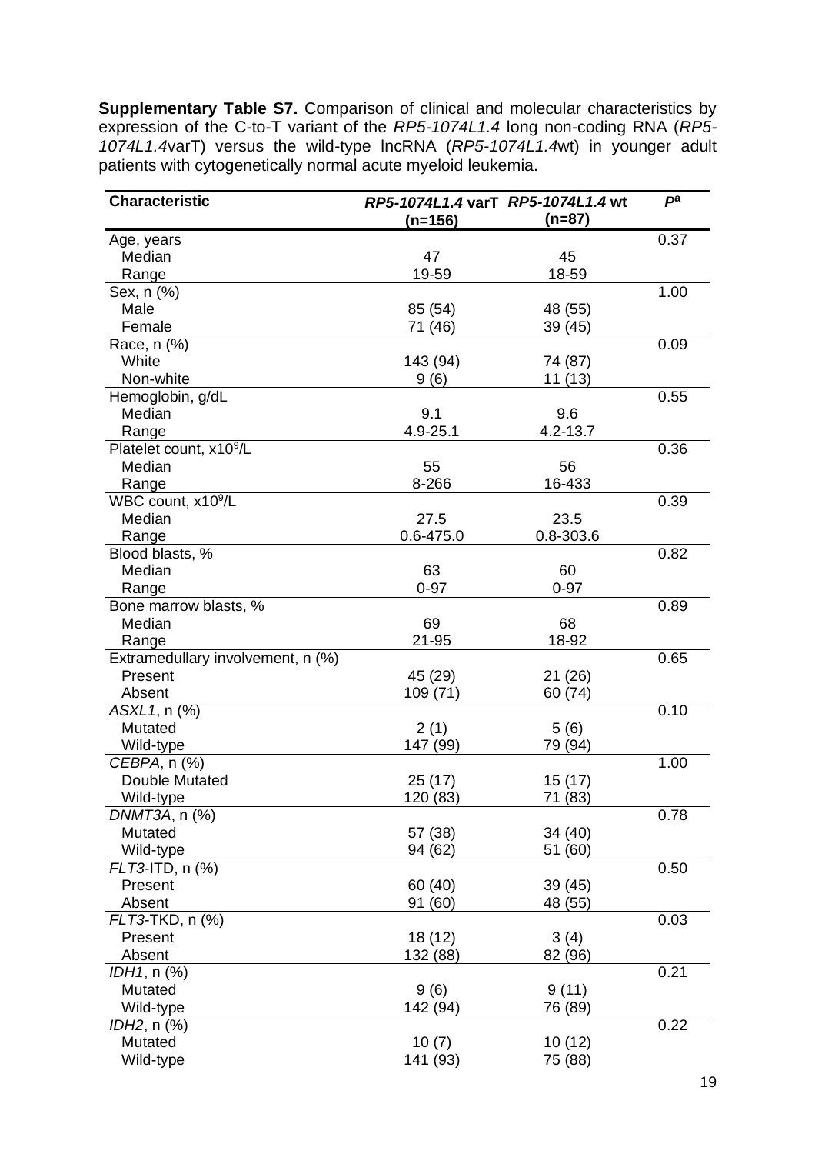**Supplementary Table S7.** Comparison of clinical and molecular characteristics by expression of the C-to-T variant of the *RP5-1074L1.4* long non-coding RNA (*RP5- 1074L1.4*varT) versus the wild-type lncRNA (*RP5-1074L1.4*wt) in younger adult patients with cytogenetically normal acute myeloid leukemia.

| <b>Characteristic</b>               | RP5-1074L1.4 varT RP5-1074L1.4 wt<br>$(n=156)$ | $(n=87)$     | $P^a$ |
|-------------------------------------|------------------------------------------------|--------------|-------|
| Age, years                          |                                                |              | 0.37  |
| Median                              | 47                                             | 45           |       |
| Range                               | 19-59                                          | 18-59        |       |
| Sex, n (%)                          |                                                |              | 1.00  |
| Male                                | 85 (54)                                        | 48 (55)      |       |
| Female                              | 71 (46)                                        | 39 (45)      |       |
| Race, n (%)                         |                                                |              | 0.09  |
| White                               | 143 (94)                                       | 74 (87)      |       |
| Non-white                           | 9(6)                                           | 11 (13)      |       |
| Hemoglobin, g/dL                    |                                                |              | 0.55  |
| Median                              | 9.1                                            | 9.6          |       |
| Range                               | 4.9-25.1                                       | $4.2 - 13.7$ |       |
| Platelet count, x10 <sup>9</sup> /L |                                                |              | 0.36  |
| Median                              | 55                                             | 56           |       |
| Range                               | 8-266                                          | 16-433       |       |
| WBC count, x10 <sup>9</sup> /L      |                                                |              | 0.39  |
| Median                              | 27.5                                           | 23.5         |       |
| Range                               | 0.6-475.0                                      | 0.8-303.6    |       |
| Blood blasts, %                     |                                                |              | 0.82  |
| Median                              | 63                                             | 60           |       |
| Range                               | $0 - 97$                                       | $0 - 97$     |       |
| Bone marrow blasts, %               |                                                |              | 0.89  |
| Median                              | 69                                             | 68           |       |
|                                     |                                                |              |       |
| Range                               | 21-95                                          | 18-92        |       |
| Extramedullary involvement, n (%)   |                                                |              | 0.65  |
| Present                             | 45 (29)                                        | 21 (26)      |       |
| Absent                              | 109 (71)                                       | 60 (74)      |       |
| ASXL1, n (%)                        |                                                |              | 0.10  |
| Mutated                             | 2(1)                                           | 5(6)         |       |
| Wild-type                           | 147 (99)                                       | 79 (94)      |       |
| CEBPA, n (%)                        |                                                |              | 1.00  |
| Double Mutated                      | 25 (17)                                        | 15(17)       |       |
| Wild-type                           | 120 (83)                                       | 71(83)       |       |
| DNMT3A, n (%)                       |                                                |              | 0.78  |
| Mutated                             | 57 (38)                                        | 34 (40)      |       |
| Wild-type                           | 94 (62)                                        | 51 (60)      |       |
| $FLT3$ -ITD, n $(\%)$               |                                                |              | 0.50  |
| Present                             | 60 (40)                                        | 39(45)       |       |
| Absent                              | 91 (60)                                        | 48 (55)      |       |
| FLT3-TKD, n (%)                     |                                                |              | 0.03  |
| Present                             | 18 (12)                                        | 3(4)         |       |
| Absent                              | 132 (88)                                       | 82 (96)      |       |
| IDH1, n (%)                         |                                                |              | 0.21  |
| Mutated                             | 9(6)                                           | 9(11)        |       |
| Wild-type                           | 142 (94)                                       | 76 (89)      |       |
| <i>IDH2</i> , n (%)                 |                                                |              | 0.22  |
| Mutated                             | 10(7)                                          | 10(12)       |       |
| Wild-type                           | 141 (93)                                       | 75 (88)      |       |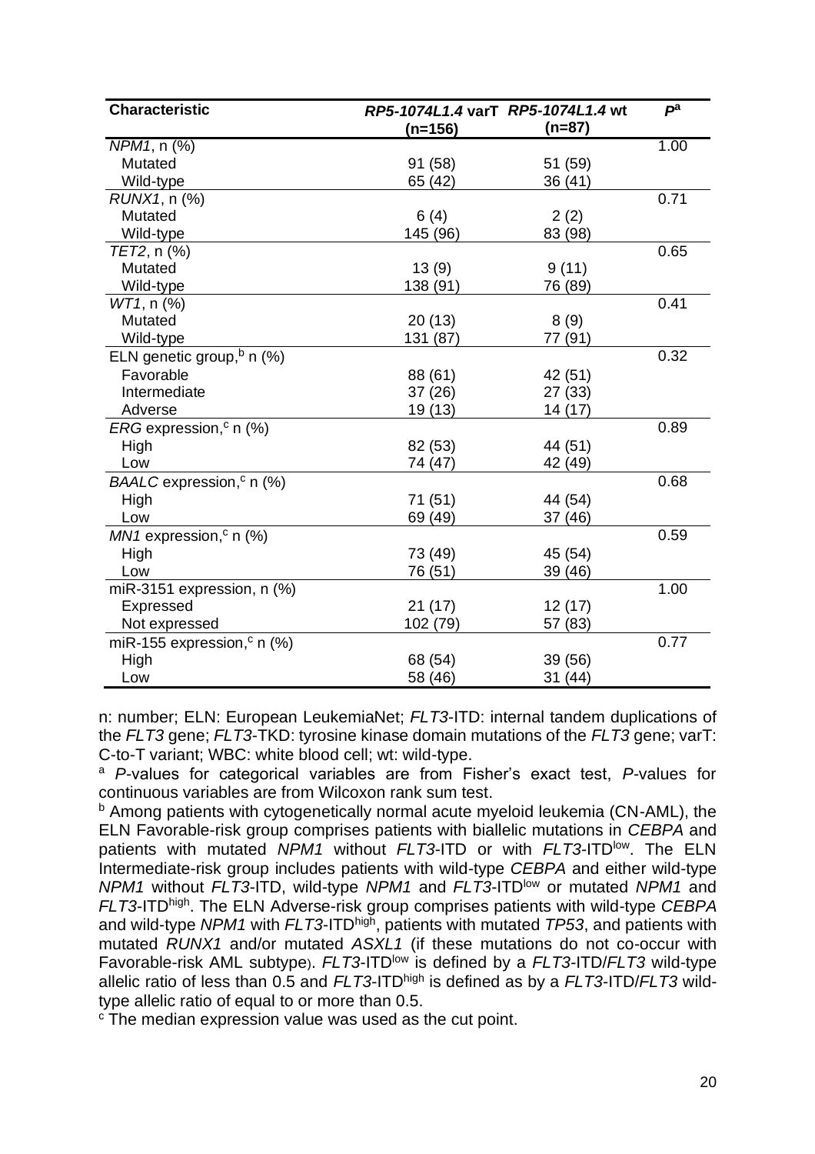| <b>Characteristic</b>                     | RP5-1074L1.4 varT RP5-1074L1.4 wt |         | $P^a$ |
|-------------------------------------------|-----------------------------------|---------|-------|
|                                           | (n=156)                           | (n=87)  |       |
| NPM1, n (%)                               |                                   |         | 1.00  |
| Mutated                                   | 91 (58)                           | 51 (59) |       |
| Wild-type                                 | 65 (42)                           | 36 (41) |       |
| RUNX1, n (%)                              |                                   |         | 0.71  |
| Mutated                                   | 6(4)                              | 2(2)    |       |
| Wild-type                                 | 145 (96)                          | 83 (98) |       |
| TET2, n (%)                               |                                   |         | 0.65  |
| Mutated                                   | 13(9)                             | 9(11)   |       |
| Wild-type                                 | 138 (91)                          | 76 (89) |       |
| $WT1$ , n $(%)$                           |                                   |         | 0.41  |
| Mutated                                   | 20(13)                            | 8(9)    |       |
| Wild-type                                 | 131 (87)                          | 77 (91) |       |
| ELN genetic group, <sup>b</sup> n (%)     |                                   |         | 0.32  |
| Favorable                                 | 88 (61)                           | 42 (51) |       |
| Intermediate                              | 37(26)                            | 27 (33) |       |
| Adverse                                   | 19 (13)                           | 14(17)  |       |
| $ERG$ expression, <sup>c</sup> n (%)      |                                   |         | 0.89  |
| High                                      | 82 (53)                           | 44 (51) |       |
| Low                                       | 74 (47)                           | 42 (49) |       |
| $BAALC$ expression, <sup>c</sup> n (%)    |                                   |         | 0.68  |
| High                                      | 71(51)                            | 44 (54) |       |
| Low                                       | 69 (49)                           | 37 (46) |       |
| $MN1$ expression, <sup>c</sup> n (%)      |                                   |         | 0.59  |
| High                                      | 73 (49)                           | 45 (54) |       |
| Low                                       | 76 (51)                           | 39 (46) |       |
| miR-3151 expression, $n$ (%)              |                                   |         | 1.00  |
| Expressed                                 | 21(17)                            | 12 (17) |       |
| Not expressed                             | 102 (79)                          | 57 (83) |       |
| miR-155 expression, <sup>c</sup> n $(\%)$ |                                   |         | 0.77  |
| High                                      | 68 (54)                           | 39 (56) |       |
| Low                                       | 58 (46)                           | 31(44)  |       |

n: number; ELN: European LeukemiaNet; *FLT3*-ITD: internal tandem duplications of the *FLT3* gene; *FLT3*-TKD: tyrosine kinase domain mutations of the *FLT3* gene; varT: C-to-T variant; WBC: white blood cell; wt: wild-type.

<sup>a</sup> *P-*values for categorical variables are from Fisher's exact test, *P-*values for continuous variables are from Wilcoxon rank sum test.

b Among patients with cytogenetically normal acute myeloid leukemia (CN-AML), the ELN Favorable-risk group comprises patients with biallelic mutations in *CEBPA* and patients with mutated *NPM1* without *FLT3*-ITD or with *FLT3*-ITDlow. The ELN Intermediate-risk group includes patients with wild-type *CEBPA* and either wild-type *NPM1* without *FLT3*-ITD, wild-type *NPM1* and *FLT3*-ITDlow or mutated *NPM1* and *FLT3*-ITDhigh. The ELN Adverse-risk group comprises patients with wild-type *CEBPA* and wild-type *NPM1* with *FLT3*-ITDhigh, patients with mutated *TP53*, and patients with mutated *RUNX1* and/or mutated *ASXL1* (if these mutations do not co-occur with Favorable-risk AML subtype). *FLT3*-ITD<sup>low</sup> is defined by a *FLT3*-ITD/*FLT3* wild-type allelic ratio of less than 0.5 and *FLT3*-ITDhigh is defined as by a *FLT3*-ITD/*FLT3* wildtype allelic ratio of equal to or more than 0.5.

<sup>c</sup> The median expression value was used as the cut point.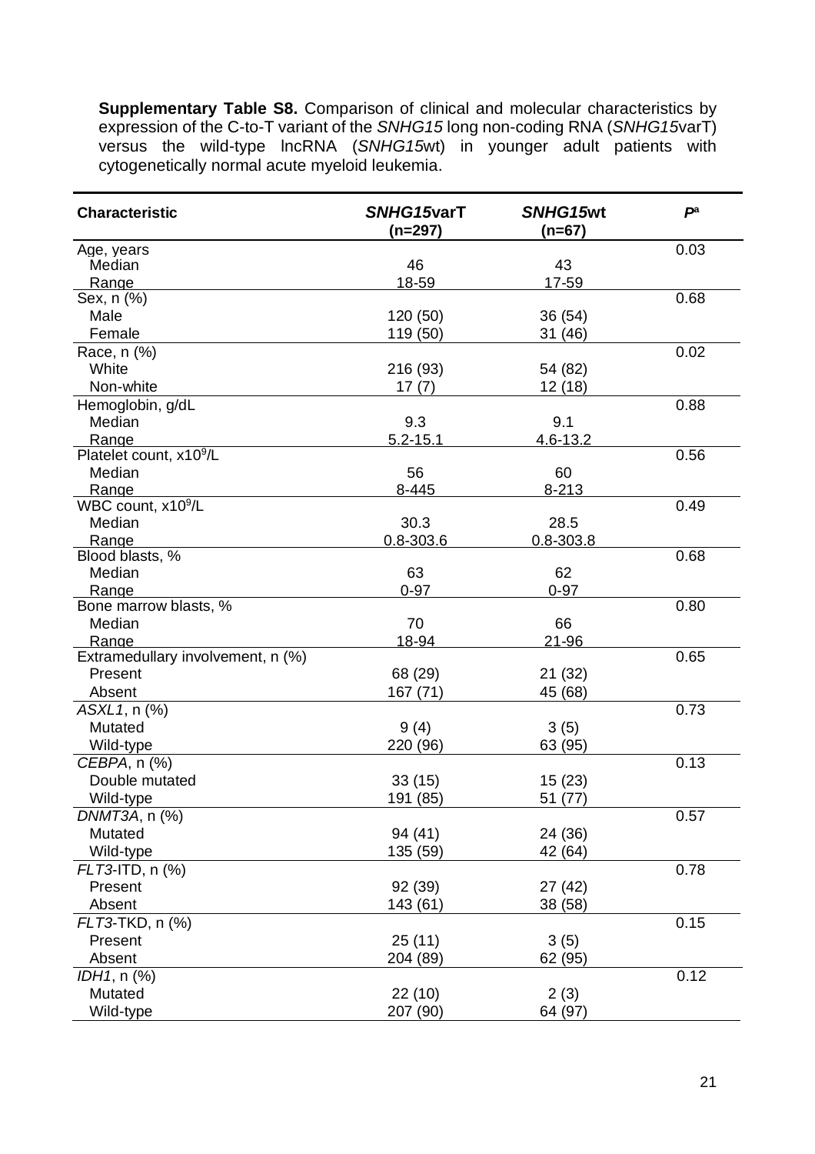**Supplementary Table S8.** Comparison of clinical and molecular characteristics by expression of the C-to-T variant of the *SNHG15* long non-coding RNA (*SNHG15*varT) versus the wild-type lncRNA (*SNHG15*wt) in younger adult patients with cytogenetically normal acute myeloid leukemia.

| 0.03<br>Age, years<br>46<br>43<br>Median<br>18-59<br>Range<br>17-59<br>0.68<br>Sex, n (%)<br>Male<br>120 (50)<br>36 (54)<br>Female<br>119 (50)<br>31 (46)<br>Race, n (%)<br>0.02<br>White<br>216 (93)<br>54 (82)<br>Non-white<br>12(18)<br>17(7)<br>Hemoglobin, g/dL<br>0.88<br>Median<br>9.3<br>9.1<br>$5.2 - 15.1$<br>Range<br>$4.6 - 13.2$<br>Platelet count, x10 <sup>9</sup> /L<br>0.56<br>56<br>Median<br>60<br>Range<br>8-445<br>$8 - 213$<br>WBC count, x10 <sup>9</sup> /L<br>0.49 |
|---------------------------------------------------------------------------------------------------------------------------------------------------------------------------------------------------------------------------------------------------------------------------------------------------------------------------------------------------------------------------------------------------------------------------------------------------------------------------------------------|
|                                                                                                                                                                                                                                                                                                                                                                                                                                                                                             |
|                                                                                                                                                                                                                                                                                                                                                                                                                                                                                             |
|                                                                                                                                                                                                                                                                                                                                                                                                                                                                                             |
|                                                                                                                                                                                                                                                                                                                                                                                                                                                                                             |
|                                                                                                                                                                                                                                                                                                                                                                                                                                                                                             |
|                                                                                                                                                                                                                                                                                                                                                                                                                                                                                             |
|                                                                                                                                                                                                                                                                                                                                                                                                                                                                                             |
|                                                                                                                                                                                                                                                                                                                                                                                                                                                                                             |
|                                                                                                                                                                                                                                                                                                                                                                                                                                                                                             |
|                                                                                                                                                                                                                                                                                                                                                                                                                                                                                             |
|                                                                                                                                                                                                                                                                                                                                                                                                                                                                                             |
|                                                                                                                                                                                                                                                                                                                                                                                                                                                                                             |
|                                                                                                                                                                                                                                                                                                                                                                                                                                                                                             |
|                                                                                                                                                                                                                                                                                                                                                                                                                                                                                             |
|                                                                                                                                                                                                                                                                                                                                                                                                                                                                                             |
|                                                                                                                                                                                                                                                                                                                                                                                                                                                                                             |
| 30.3<br>Median<br>28.5                                                                                                                                                                                                                                                                                                                                                                                                                                                                      |
| Range<br>$0.8 - 303.6$<br>$0.8 - 303.8$                                                                                                                                                                                                                                                                                                                                                                                                                                                     |
| Blood blasts, %<br>0.68                                                                                                                                                                                                                                                                                                                                                                                                                                                                     |
| Median<br>63<br>62                                                                                                                                                                                                                                                                                                                                                                                                                                                                          |
| Range<br>$0 - 97$<br>$0 - 97$                                                                                                                                                                                                                                                                                                                                                                                                                                                               |
| Bone marrow blasts, %<br>0.80                                                                                                                                                                                                                                                                                                                                                                                                                                                               |
| 70<br>Median<br>66                                                                                                                                                                                                                                                                                                                                                                                                                                                                          |
| 18-94<br>21-96<br>Range                                                                                                                                                                                                                                                                                                                                                                                                                                                                     |
| Extramedullary involvement, n (%)<br>0.65                                                                                                                                                                                                                                                                                                                                                                                                                                                   |
| Present<br>68 (29)<br>21 (32)                                                                                                                                                                                                                                                                                                                                                                                                                                                               |
| Absent<br>167 (71)<br>45 (68)                                                                                                                                                                                                                                                                                                                                                                                                                                                               |
| ASXL1, n (%)<br>0.73                                                                                                                                                                                                                                                                                                                                                                                                                                                                        |
| Mutated<br>9(4)<br>3(5)                                                                                                                                                                                                                                                                                                                                                                                                                                                                     |
| Wild-type<br>220 (96)<br>63 (95)                                                                                                                                                                                                                                                                                                                                                                                                                                                            |
| CEBPA, n (%)<br>0.13                                                                                                                                                                                                                                                                                                                                                                                                                                                                        |
| Double mutated<br>33(15)<br>15(23)                                                                                                                                                                                                                                                                                                                                                                                                                                                          |
| Wild-type<br>191 (85)<br>51 (77)                                                                                                                                                                                                                                                                                                                                                                                                                                                            |
| 0.57<br>DNMT3A, n (%)                                                                                                                                                                                                                                                                                                                                                                                                                                                                       |
| Mutated<br>94 (41)<br>24 (36)                                                                                                                                                                                                                                                                                                                                                                                                                                                               |
| 42 (64)<br>Wild-type<br>135 (59)                                                                                                                                                                                                                                                                                                                                                                                                                                                            |
| FLT3-ITD, n (%)<br>0.78                                                                                                                                                                                                                                                                                                                                                                                                                                                                     |
| Present<br>92 (39)<br>27 (42)                                                                                                                                                                                                                                                                                                                                                                                                                                                               |
| Absent<br>143 (61)<br>38 (58)                                                                                                                                                                                                                                                                                                                                                                                                                                                               |
| 0.15<br>FLT3-TKD, n (%)                                                                                                                                                                                                                                                                                                                                                                                                                                                                     |
| 25(11)<br>Present<br>3(5)                                                                                                                                                                                                                                                                                                                                                                                                                                                                   |
| Absent<br>204 (89)<br>62 (95)                                                                                                                                                                                                                                                                                                                                                                                                                                                               |
| 0.12<br>IDH1, n (%)                                                                                                                                                                                                                                                                                                                                                                                                                                                                         |
| Mutated<br>22 (10)<br>2(3)                                                                                                                                                                                                                                                                                                                                                                                                                                                                  |
| Wild-type<br>207 (90)<br>64 (97)                                                                                                                                                                                                                                                                                                                                                                                                                                                            |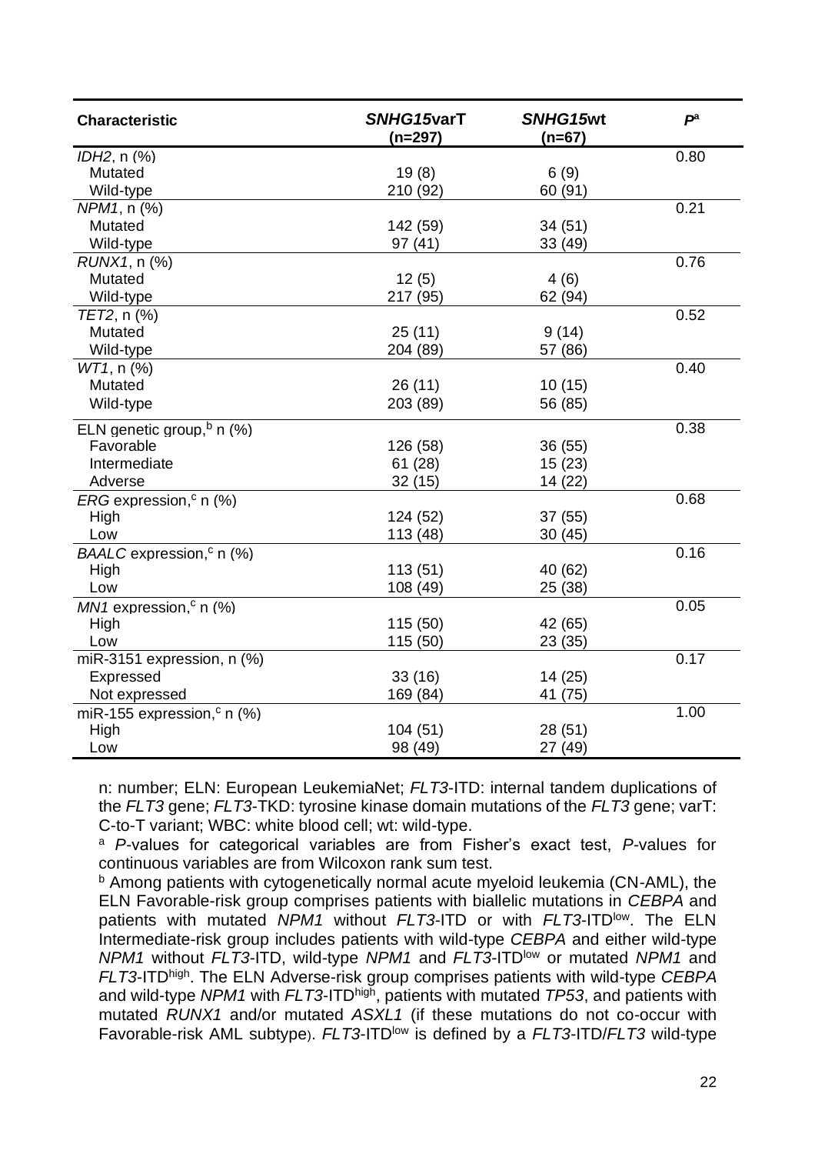| <b>Characteristic</b>                     | SNHG15varT<br>(n=297) | SNHG15wt<br>(n=67) | $P^a$ |
|-------------------------------------------|-----------------------|--------------------|-------|
| IDH2, n (%)                               |                       |                    | 0.80  |
| Mutated                                   | 19(8)                 | 6(9)               |       |
| Wild-type                                 | 210 (92)              | 60 (91)            |       |
| NPM1, n (%)                               |                       |                    | 0.21  |
| Mutated                                   | 142 (59)              | 34(51)             |       |
| Wild-type                                 | 97(41)                | 33 (49)            |       |
| RUNX1, n (%)                              |                       |                    | 0.76  |
| Mutated                                   | 12(5)                 | 4(6)               |       |
| Wild-type                                 | 217 (95)              | 62 (94)            |       |
| TET2, n (%)                               |                       |                    | 0.52  |
| Mutated                                   | 25(11)                | 9(14)              |       |
| Wild-type                                 | 204 (89)              | 57 (86)            |       |
| WT1, n (%)                                |                       |                    | 0.40  |
| Mutated                                   | 26(11)                | 10(15)             |       |
| Wild-type                                 | 203 (89)              | 56 (85)            |       |
| ELN genetic group, $\frac{b}{b}$ n (%)    |                       |                    | 0.38  |
| Favorable                                 | 126 (58)              | 36(55)             |       |
| Intermediate                              | 61(28)                | 15(23)             |       |
| Adverse                                   | 32(15)                | 14 (22)            |       |
| ERG expression, <sup>c</sup> n (%)        |                       |                    | 0.68  |
| High                                      | 124 (52)              | 37(55)             |       |
| Low                                       | 113 (48)              | 30(45)             |       |
| BAALC expression, <sup>c</sup> n (%)      |                       |                    | 0.16  |
| High                                      | 113(51)               | 40 (62)            |       |
| Low                                       | 108 (49)              | 25 (38)            |       |
| $MN1$ expression, <sup>c</sup> n (%)      |                       |                    | 0.05  |
| High                                      | 115 (50)              | 42 (65)            |       |
| Low                                       | 115 (50)              | 23(35)             |       |
| miR-3151 expression, n (%)                |                       |                    | 0.17  |
| Expressed                                 | 33(16)                | 14(25)             |       |
| Not expressed                             | 169 (84)              | 41 (75)            |       |
| miR-155 expression, <sup>c</sup> n $(\%)$ |                       |                    | 1.00  |
| High                                      | 104(51)               | 28(51)             |       |
| Low                                       | 98 (49)               | 27 (49)            |       |

n: number; ELN: European LeukemiaNet; *FLT3*-ITD: internal tandem duplications of the *FLT3* gene; *FLT3*-TKD: tyrosine kinase domain mutations of the *FLT3* gene; varT: C-to-T variant; WBC: white blood cell; wt: wild-type.

<sup>a</sup> *P-*values for categorical variables are from Fisher's exact test, *P-*values for continuous variables are from Wilcoxon rank sum test.

b Among patients with cytogenetically normal acute myeloid leukemia (CN-AML), the ELN Favorable-risk group comprises patients with biallelic mutations in *CEBPA* and patients with mutated *NPM1* without *FLT3*-ITD or with *FLT3*-ITDlow. The ELN Intermediate-risk group includes patients with wild-type *CEBPA* and either wild-type *NPM1* without *FLT3*-ITD, wild-type *NPM1* and *FLT3*-ITDlow or mutated *NPM1* and *FLT3*-ITDhigh. The ELN Adverse-risk group comprises patients with wild-type *CEBPA* and wild-type *NPM1* with *FLT3*-ITDhigh, patients with mutated *TP53*, and patients with mutated *RUNX1* and/or mutated *ASXL1* (if these mutations do not co-occur with Favorable-risk AML subtype). *FLT3*-ITDlow is defined by a *FLT3*-ITD/*FLT3* wild-type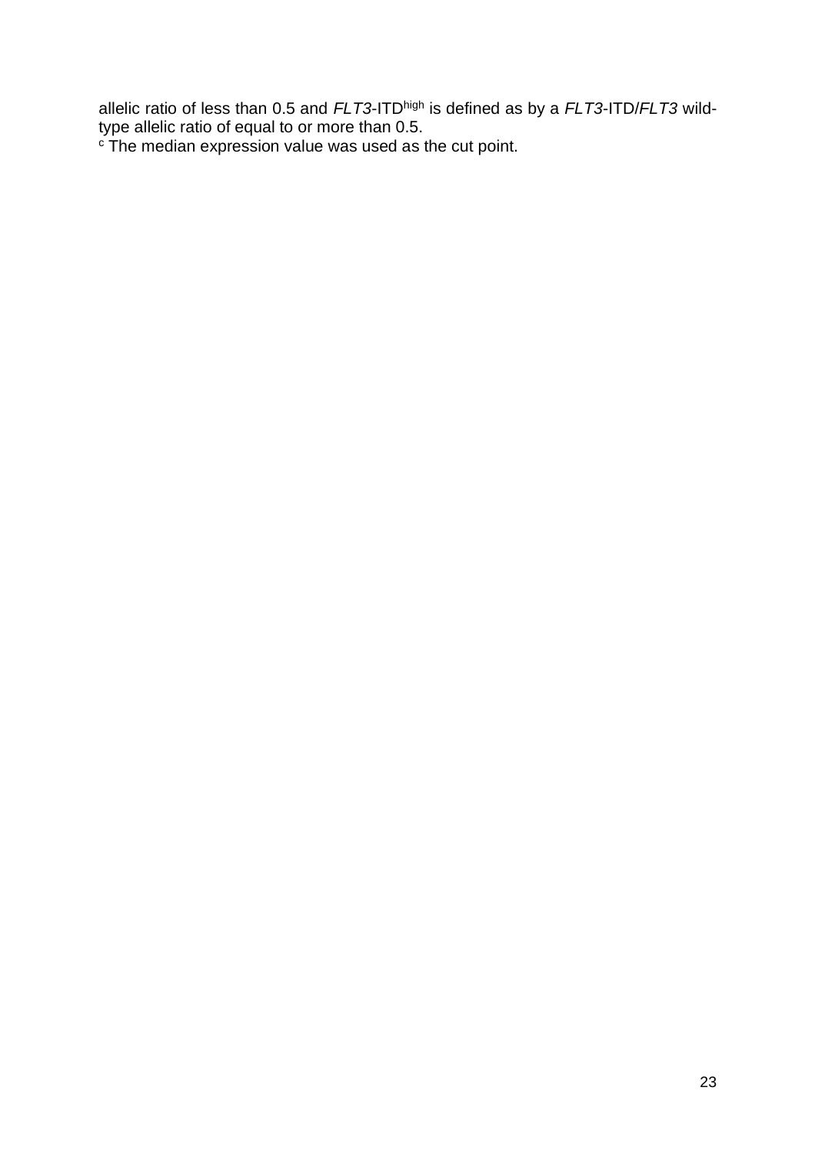allelic ratio of less than 0.5 and *FLT3*-ITDhigh is defined as by a *FLT3*-ITD/*FLT3* wildtype allelic ratio of equal to or more than 0.5.

 $\textdegree$  The median expression value was used as the cut point.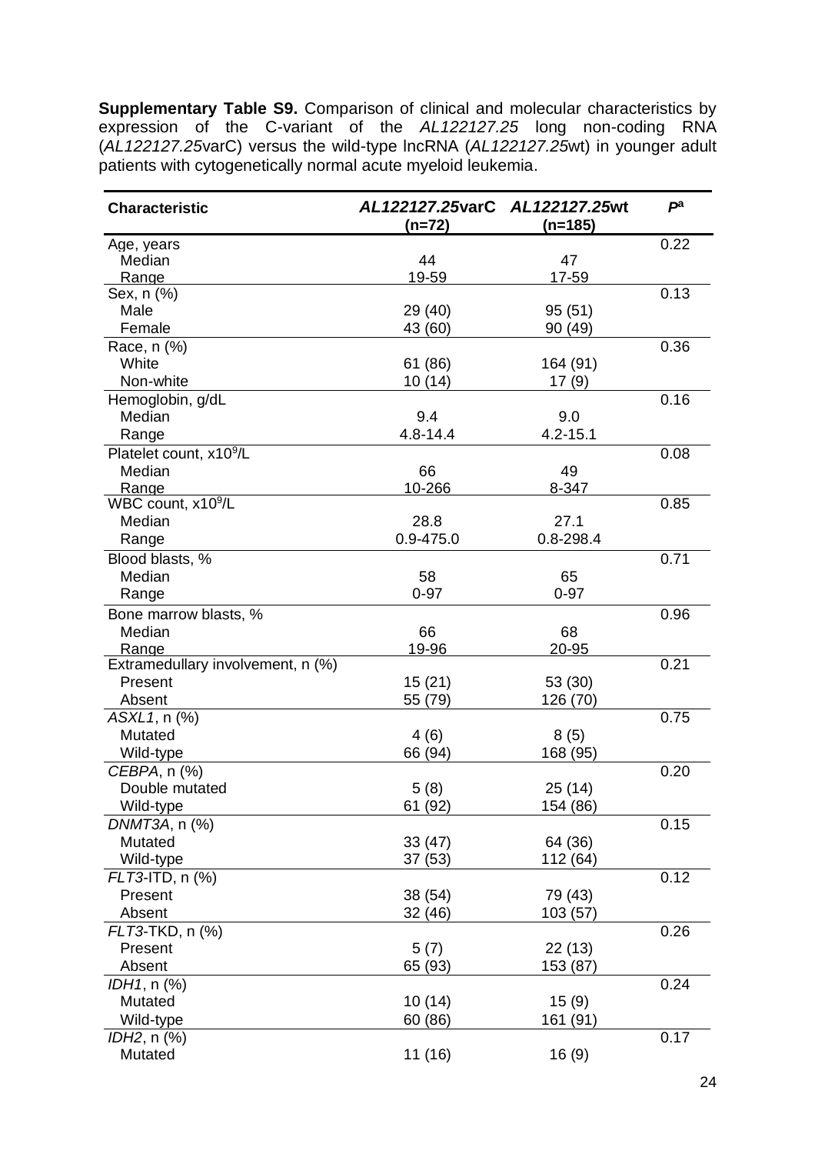**Supplementary Table S9.** Comparison of clinical and molecular characteristics by expression of the C-variant of the *AL122127.25* long non-coding RNA (*AL122127.25*varC) versus the wild-type lncRNA (*AL122127.25*wt) in younger adult patients with cytogenetically normal acute myeloid leukemia.

| <b>Characteristic</b>                      | AL122127.25varC AL122127.25wt<br>(n=72) | (n=185)       | $P^a$ |
|--------------------------------------------|-----------------------------------------|---------------|-------|
| Age, years                                 |                                         |               | 0.22  |
| Median                                     | 44                                      | 47            |       |
| Range                                      | 19-59                                   | 17-59         |       |
| Sex, n (%)                                 |                                         |               | 0.13  |
| Male                                       | 29 (40)                                 | 95(51)        |       |
| Female                                     | 43 (60)                                 | 90 (49)       |       |
| Race, n (%)                                |                                         |               | 0.36  |
| White                                      | 61 (86)                                 | 164 (91)      |       |
| Non-white                                  | 10(14)                                  | 17(9)         |       |
| Hemoglobin, g/dL                           |                                         |               | 0.16  |
| Median                                     | 9.4                                     | 9.0           |       |
| Range                                      | $4.8 - 14.4$                            | $4.2 - 15.1$  |       |
| Platelet count, x10 <sup>9</sup> /L        |                                         |               | 0.08  |
| Median                                     | 66                                      | 49            |       |
| Range                                      | 10-266                                  | 8-347         |       |
| WBC count, $x10^9/L$                       |                                         |               | 0.85  |
| Median                                     | 28.8                                    | 27.1          |       |
| Range                                      | $0.9 - 475.0$                           | $0.8 - 298.4$ |       |
| Blood blasts, %                            |                                         |               | 0.71  |
| Median                                     | 58                                      | 65            |       |
| Range                                      | $0 - 97$                                | $0 - 97$      |       |
|                                            |                                         |               |       |
| Bone marrow blasts, %                      |                                         |               | 0.96  |
| Median                                     | 66<br>19-96                             | 68            |       |
| Range<br>Extramedullary involvement, n (%) |                                         | 20-95         | 0.21  |
| Present                                    | 15(21)                                  | 53 (30)       |       |
| Absent                                     | 55 (79)                                 | 126 (70)      |       |
|                                            |                                         |               | 0.75  |
| ASXL1, n (%)<br>Mutated                    |                                         |               |       |
|                                            | 4(6)                                    | 8(5)          |       |
| Wild-type                                  | 66 (94)                                 | 168 (95)      |       |
| CEBPA, n (%)                               |                                         |               | 0.20  |
| Double mutated                             | 5(8)                                    | 25 (14)       |       |
| Wild-type                                  | 61(92)                                  | 154 (86)      |       |
| DNMT3A, n (%)                              |                                         |               | 0.15  |
| Mutated                                    | 33(47)                                  | 64 (36)       |       |
| Wild-type                                  | 37(53)                                  | 112 (64)      |       |
| FLT3-ITD, n (%)                            |                                         |               | 0.12  |
| Present                                    | 38 (54)                                 | 79 (43)       |       |
| Absent                                     | 32 (46)                                 | 103 (57)      |       |
| FLT3-TKD, n (%)                            |                                         |               | 0.26  |
| Present                                    | 5(7)                                    | 22 (13)       |       |
| Absent                                     | 65 (93)                                 | 153 (87)      |       |
| IDH1, n (%)                                |                                         |               | 0.24  |
| Mutated                                    | 10(14)                                  | 15(9)         |       |
| Wild-type                                  | 60 (86)                                 | 161 (91)      |       |
| $IDH2$ , n $(\%)$                          |                                         |               | 0.17  |
| Mutated                                    | 11 (16)                                 | 16(9)         |       |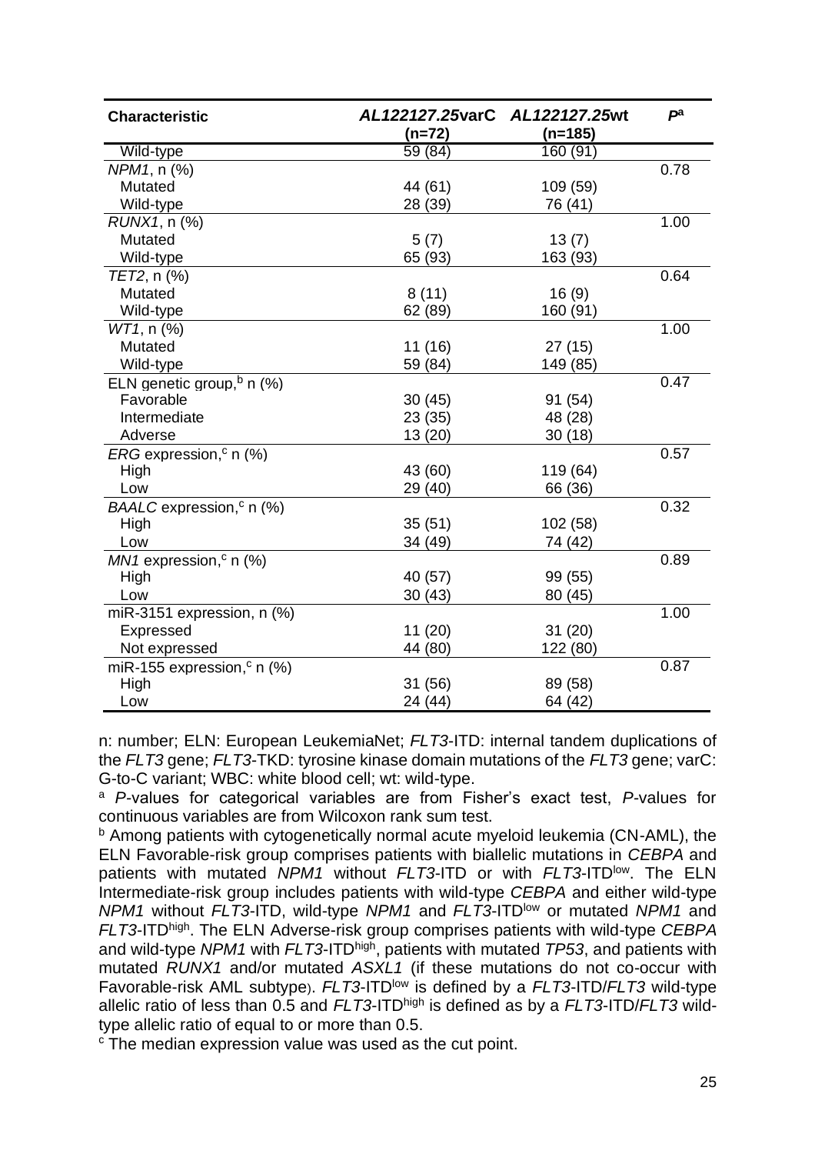| <b>Characteristic</b>                    | AL122127.25varC AL122127.25wt |           | $P^a$ |
|------------------------------------------|-------------------------------|-----------|-------|
|                                          | (n=72)                        | $(n=185)$ |       |
| Wild-type                                | 59 (84)                       | 160(91)   |       |
| NPM1, n (%)                              |                               |           | 0.78  |
| Mutated                                  | 44 (61)                       | 109 (59)  |       |
| Wild-type                                | 28 (39)                       | 76 (41)   |       |
| RUNX1, n (%)                             |                               |           | 1.00  |
| Mutated                                  | 5(7)                          | 13(7)     |       |
| Wild-type                                | 65 (93)                       | 163 (93)  |       |
| TET2, n (%)                              |                               |           | 0.64  |
| Mutated                                  | 8(11)                         | 16(9)     |       |
| Wild-type                                | 62 (89)                       | 160 (91)  |       |
| WT1, n (%)                               |                               |           | 1.00  |
| Mutated                                  | 11 (16)                       | 27(15)    |       |
| Wild-type                                | 59 (84)                       | 149 (85)  |       |
| ELN genetic group, <sup>b</sup> n $(\%)$ |                               |           | 0.47  |
| Favorable                                | 30(45)                        | 91 (54)   |       |
| Intermediate                             | 23 (35)                       | 48 (28)   |       |
| Adverse                                  | 13 (20)                       | 30(18)    |       |
| $ERG$ expression, <sup>c</sup> n (%)     |                               |           | 0.57  |
| High                                     | 43 (60)                       | 119 (64)  |       |
| Low                                      | 29 (40)                       | 66 (36)   |       |
| $BAALC$ expression, <sup>c</sup> n (%)   |                               |           | 0.32  |
| High                                     | 35(51)                        | 102 (58)  |       |
| Low                                      | 34 (49)                       | 74 (42)   |       |
| $MN1$ expression, <sup>c</sup> n (%)     |                               |           | 0.89  |
| High                                     | 40 (57)                       | 99 (55)   |       |
| Low                                      | 30(43)                        | 80 (45)   |       |
| miR-3151 expression, $n$ (%)             |                               |           | 1.00  |
| Expressed                                | 11(20)                        | 31(20)    |       |
| Not expressed                            | 44 (80)                       | 122 (80)  |       |
| miR-155 expression, <sup>c</sup> n (%)   |                               |           | 0.87  |
| High                                     | 31 (56)                       | 89 (58)   |       |
| Low                                      | 24 (44)                       | 64 (42)   |       |

n: number; ELN: European LeukemiaNet; *FLT3*-ITD: internal tandem duplications of the *FLT3* gene; *FLT3*-TKD: tyrosine kinase domain mutations of the *FLT3* gene; varC: G-to-C variant; WBC: white blood cell; wt: wild-type.

<sup>a</sup> *P-*values for categorical variables are from Fisher's exact test, *P-*values for continuous variables are from Wilcoxon rank sum test.

<sup>b</sup> Among patients with cytogenetically normal acute myeloid leukemia (CN-AML), the ELN Favorable-risk group comprises patients with biallelic mutations in *CEBPA* and patients with mutated *NPM1* without *FLT3*-ITD or with *FLT3*-ITDlow. The ELN Intermediate-risk group includes patients with wild-type *CEBPA* and either wild-type *NPM1* without *FLT3*-ITD, wild-type *NPM1* and *FLT3*-ITDlow or mutated *NPM1* and *FLT3*-ITDhigh. The ELN Adverse-risk group comprises patients with wild-type *CEBPA* and wild-type *NPM1* with *FLT3*-ITDhigh, patients with mutated *TP53*, and patients with mutated *RUNX1* and/or mutated *ASXL1* (if these mutations do not co-occur with Favorable-risk AML subtype). *FLT3*-ITD<sup>low</sup> is defined by a *FLT3*-ITD/*FLT3* wild-type allelic ratio of less than 0.5 and *FLT3*-ITDhigh is defined as by a *FLT3*-ITD/*FLT3* wildtype allelic ratio of equal to or more than 0.5.

<sup>c</sup> The median expression value was used as the cut point.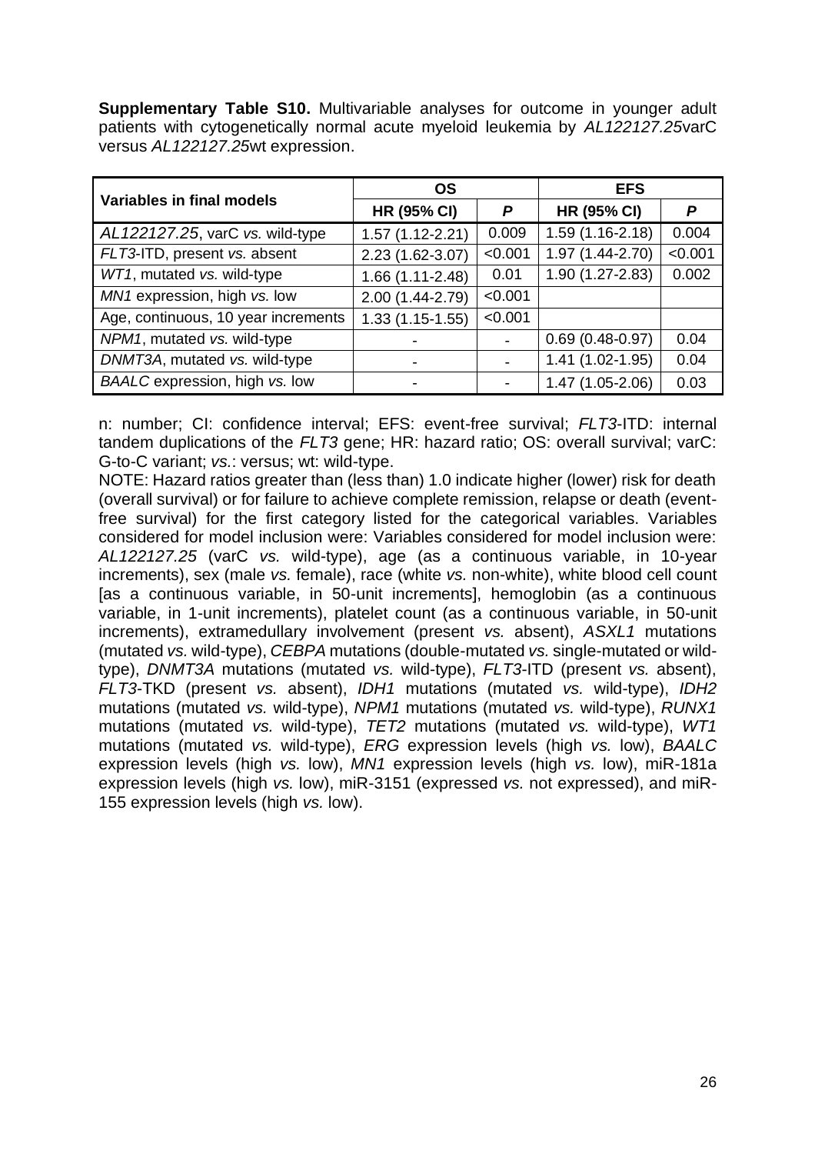**Supplementary Table S10.** Multivariable analyses for outcome in younger adult patients with cytogenetically normal acute myeloid leukemia by *AL122127.25*varC versus *AL122127.25*wt expression.

| Variables in final models           | OS                  |         | <b>EFS</b>          |         |
|-------------------------------------|---------------------|---------|---------------------|---------|
|                                     | <b>HR (95% CI)</b>  | P       | <b>HR (95% CI)</b>  | Р       |
| AL122127.25, varC vs. wild-type     | $1.57(1.12 - 2.21)$ | 0.009   | $1.59(1.16-2.18)$   | 0.004   |
| FLT3-ITD, present vs. absent        | 2.23 (1.62-3.07)    | < 0.001 | $1.97(1.44 - 2.70)$ | < 0.001 |
| WT1, mutated vs. wild-type          | 1.66 (1.11-2.48)    | 0.01    | $1.90(1.27 - 2.83)$ | 0.002   |
| MN1 expression, high vs. low        | 2.00 (1.44-2.79)    | < 0.001 |                     |         |
| Age, continuous, 10 year increments | $1.33(1.15-1.55)$   | < 0.001 |                     |         |
| NPM1, mutated vs. wild-type         |                     |         | $0.69(0.48-0.97)$   | 0.04    |
| DNMT3A, mutated vs. wild-type       |                     |         | $1.41(1.02-1.95)$   | 0.04    |
| BAALC expression, high vs. low      |                     |         | $1.47(1.05-2.06)$   | 0.03    |

n: number; CI: confidence interval; EFS: event-free survival; *FLT3*-ITD: internal tandem duplications of the *FLT3* gene; HR: hazard ratio; OS: overall survival; varC: G-to-C variant; *vs.*: versus; wt: wild-type.

NOTE: Hazard ratios greater than (less than) 1.0 indicate higher (lower) risk for death (overall survival) or for failure to achieve complete remission, relapse or death (eventfree survival) for the first category listed for the categorical variables. Variables considered for model inclusion were: Variables considered for model inclusion were: *AL122127.25* (varC *vs.* wild-type), age (as a continuous variable, in 10-year increments), sex (male *vs.* female), race (white *vs.* non-white), white blood cell count [as a continuous variable, in 50-unit increments], hemoglobin (as a continuous variable, in 1-unit increments), platelet count (as a continuous variable, in 50-unit increments), extramedullary involvement (present *vs.* absent), *ASXL1* mutations (mutated *vs.* wild-type), *CEBPA* mutations (double-mutated *vs.* single-mutated or wildtype), *DNMT3A* mutations (mutated *vs.* wild-type), *FLT3*-ITD (present *vs.* absent), *FLT3*-TKD (present *vs.* absent), *IDH1* mutations (mutated *vs.* wild-type), *IDH2* mutations (mutated *vs.* wild-type), *NPM1* mutations (mutated *vs.* wild-type), *RUNX1* mutations (mutated *vs.* wild-type), *TET2* mutations (mutated *vs.* wild-type), *WT1* mutations (mutated *vs.* wild-type), *ERG* expression levels (high *vs.* low), *BAALC* expression levels (high *vs.* low), *MN1* expression levels (high *vs.* low), miR-181a expression levels (high *vs.* low), miR-3151 (expressed *vs.* not expressed), and miR-155 expression levels (high *vs.* low).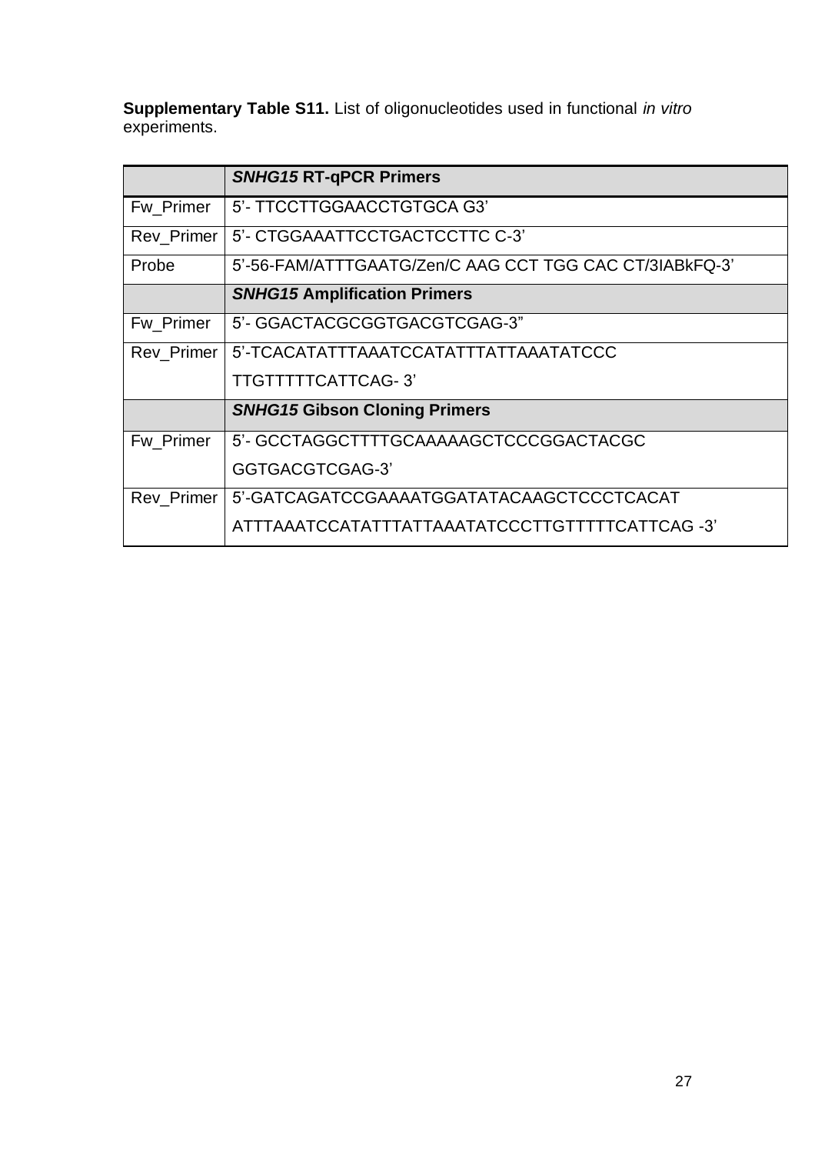**Supplementary Table S11.** List of oligonucleotides used in functional *in vitro* experiments.

|            | <b>SNHG15 RT-qPCR Primers</b>                           |
|------------|---------------------------------------------------------|
| Fw_Primer  | 5'- TTCCTTGGAACCTGTGCA G3'                              |
| Rev_Primer | 5'- CTGGAAATTCCTGACTCCTTC C-3'                          |
| Probe      | 5'-56-FAM/ATTTGAATG/Zen/C AAG CCT TGG CAC CT/3IABkFQ-3' |
|            | <b>SNHG15 Amplification Primers</b>                     |
| Fw Primer  | 5'- GGACTACGCGGTGACGTCGAG-3"                            |
| Rev Primer | 5'-TCACATATTTAAATCCATATTTATTAAATATCCC                   |
|            | TTGTTTTTCATTCAG-3'                                      |
|            | <b>SNHG15 Gibson Cloning Primers</b>                    |
| Fw Primer  | 5'- GCCTAGGCTTTTGCAAAAAGCTCCCGGACTACGC                  |
|            | GGTGACGTCGAG-3                                          |
| Rev_Primer | 5'-GATCAGATCCGAAAATGGATATACAAGCTCCCTCACAT               |
|            |                                                         |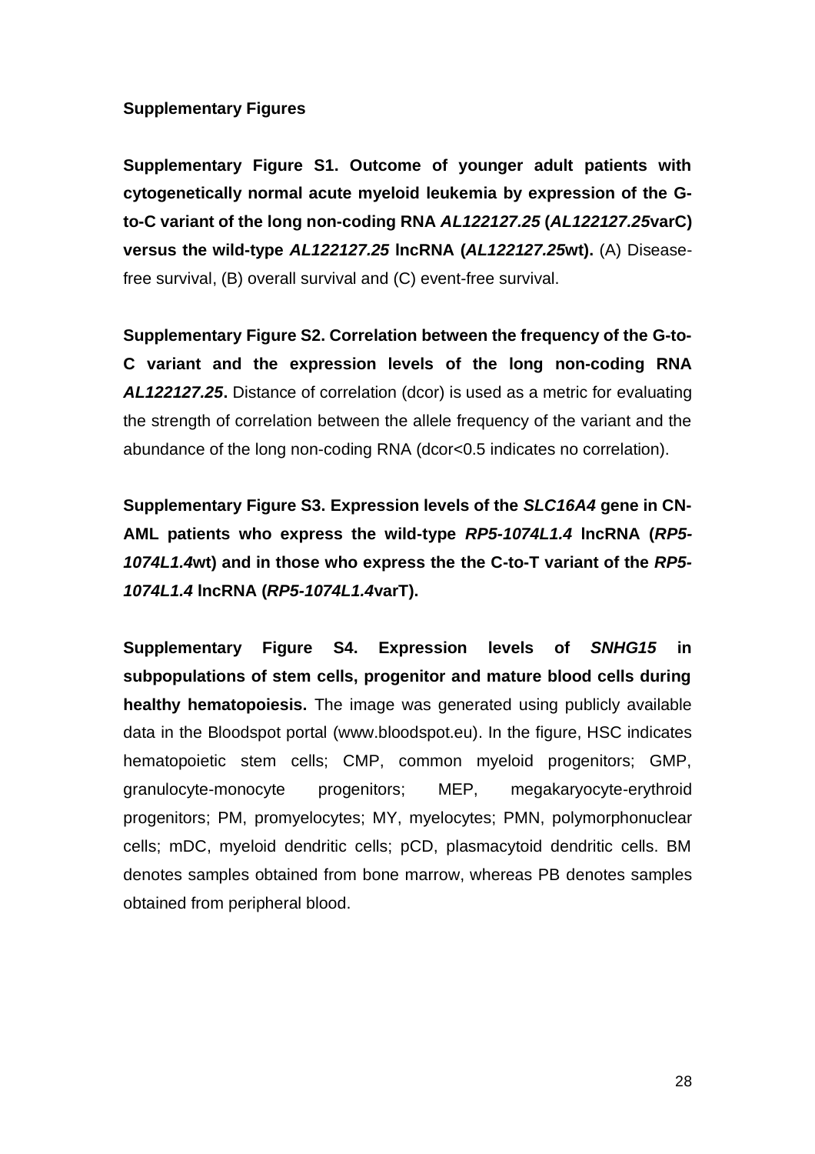# **Supplementary Figures**

**Supplementary Figure S1. Outcome of younger adult patients with cytogenetically normal acute myeloid leukemia by expression of the Gto-C variant of the long non-coding RNA** *AL122127.25* **(***AL122127.25***varC) versus the wild-type** *AL122127.25* **lncRNA (***AL122127.25***wt).** (A) Diseasefree survival, (B) overall survival and (C) event-free survival.

**Supplementary Figure S2. Correlation between the frequency of the G-to-C variant and the expression levels of the long non-coding RNA**  *AL122127.25***.** Distance of correlation (dcor) is used as a metric for evaluating the strength of correlation between the allele frequency of the variant and the abundance of the long non-coding RNA (dcor<0.5 indicates no correlation).

**Supplementary Figure S3. Expression levels of the** *SLC16A4* **gene in CN-AML patients who express the wild-type** *RP5-1074L1.4* **lncRNA (***RP5- 1074L1.4***wt) and in those who express the the C-to-T variant of the** *RP5- 1074L1.4* **lncRNA (***RP5-1074L1.4***varT).**

**Supplementary Figure S4. Expression levels of** *SNHG15* **in subpopulations of stem cells, progenitor and mature blood cells during healthy hematopoiesis.** The image was generated using publicly available data in the Bloodspot portal (www.bloodspot.eu). In the figure, HSC indicates hematopoietic stem cells; CMP, common myeloid progenitors; GMP, granulocyte-monocyte progenitors; MEP, megakaryocyte-erythroid progenitors; PM, promyelocytes; MY, myelocytes; PMN, polymorphonuclear cells; mDC, myeloid dendritic cells; pCD, plasmacytoid dendritic cells. BM denotes samples obtained from bone marrow, whereas PB denotes samples obtained from peripheral blood.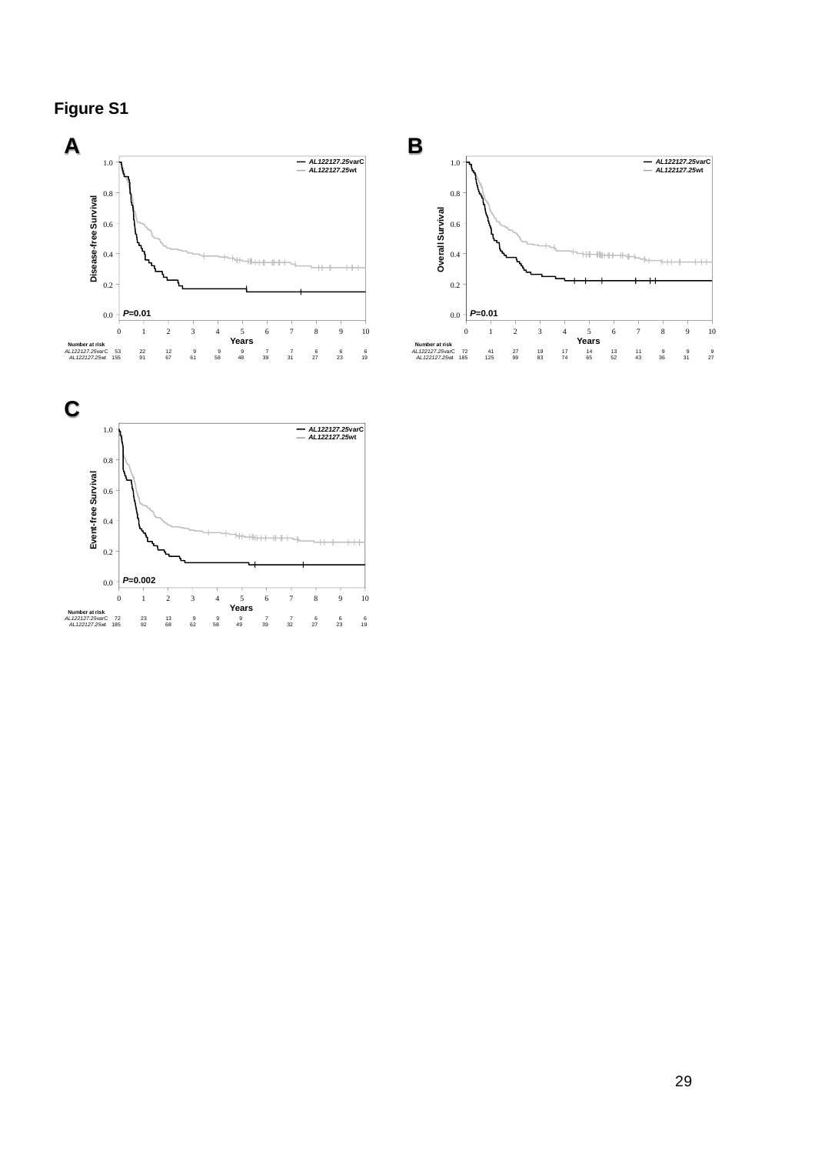**Figure S1**



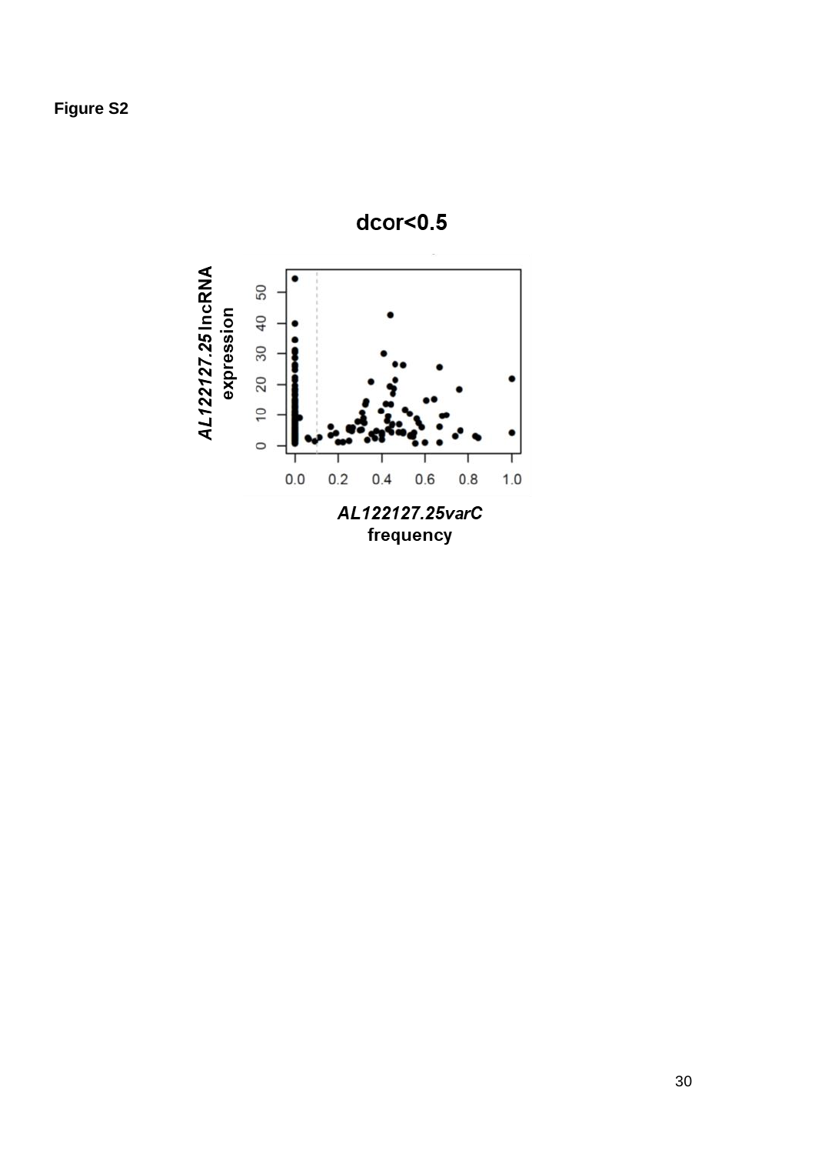

30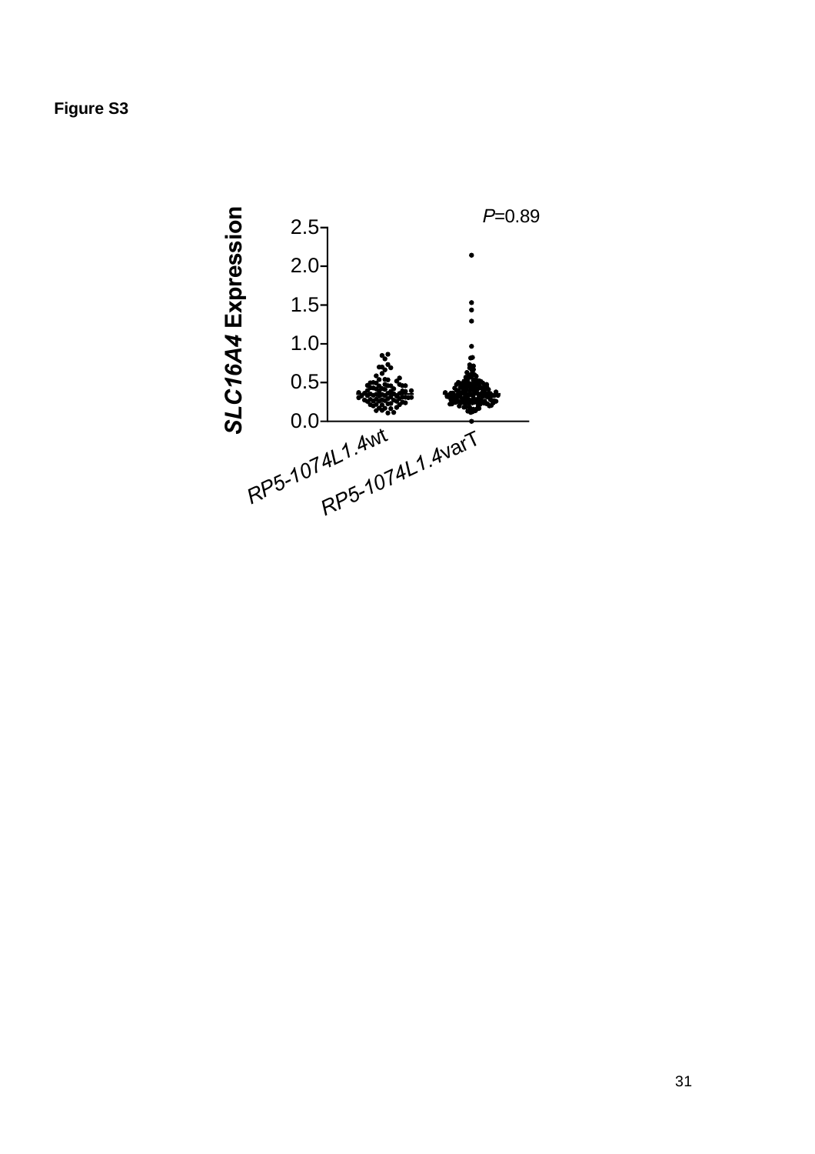